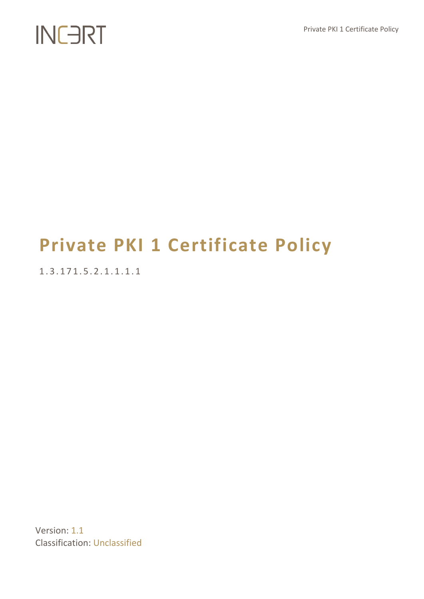## **Private PKI 1 Certificate Policy**

1 . 3 . 1 7 1 . 5 . 2 . 1 . 1 . 1 . 1

Version: 1.1 Classification: Unclassified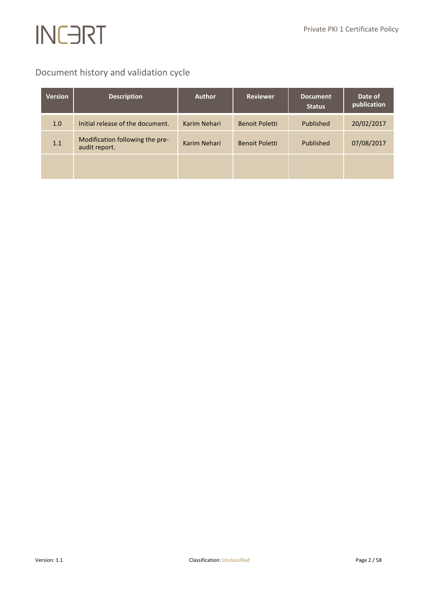## Document history and validation cycle

| <b>Version</b> | <b>Description</b>                               | <b>Author</b> | <b>Reviewer</b>       | <b>Document</b><br><b>Status</b> | Date of<br>publication |
|----------------|--------------------------------------------------|---------------|-----------------------|----------------------------------|------------------------|
| 1.0            | Initial release of the document.                 | Karim Nehari  | <b>Benoit Poletti</b> | Published                        | 20/02/2017             |
| 1.1            | Modification following the pre-<br>audit report. | Karim Nehari  | <b>Benoit Poletti</b> | Published                        | 07/08/2017             |
|                |                                                  |               |                       |                                  |                        |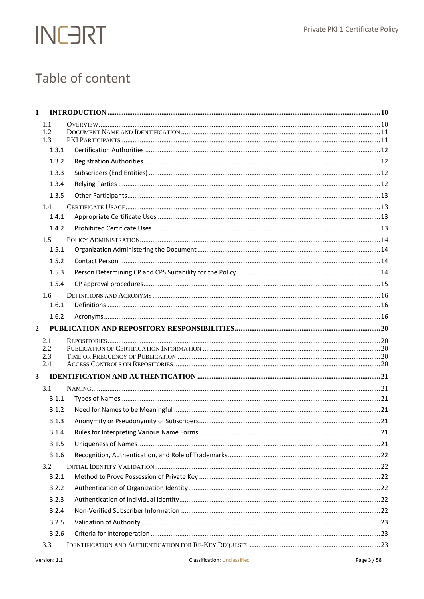## Table of content

| $\mathbf{1}$            |            |  |
|-------------------------|------------|--|
|                         | 1.1<br>1.2 |  |
|                         | 1.3        |  |
|                         | 1.3.1      |  |
|                         | 1.3.2      |  |
|                         | 1.3.3      |  |
|                         | 1.3.4      |  |
|                         | 1.3.5      |  |
|                         | 1.4        |  |
|                         | 1.4.1      |  |
|                         | 1.4.2      |  |
|                         | 1.5        |  |
|                         | 1.5.1      |  |
|                         | 1.5.2      |  |
|                         | 1.5.3      |  |
|                         | 1.5.4      |  |
|                         | 1.6        |  |
|                         | 1.6.1      |  |
|                         | 1.6.2      |  |
| $\overline{2}$          |            |  |
|                         | 2.1        |  |
|                         | 2.2        |  |
|                         | 2.3<br>2.4 |  |
| $\overline{\mathbf{3}}$ |            |  |
|                         | 3.1        |  |
|                         | 3.1.1      |  |
|                         | 3.1.2      |  |
|                         | 3.1.3      |  |
|                         | 3.1.4      |  |
|                         | 3.1.5      |  |
|                         | 3.1.6      |  |
|                         | 3.2        |  |
|                         | 3.2.1      |  |
|                         | 3.2.2      |  |
|                         | 3.2.3      |  |
|                         | 3.2.4      |  |
|                         | 3.2.5      |  |
|                         | 3.2.6      |  |
|                         | 3.3        |  |
|                         |            |  |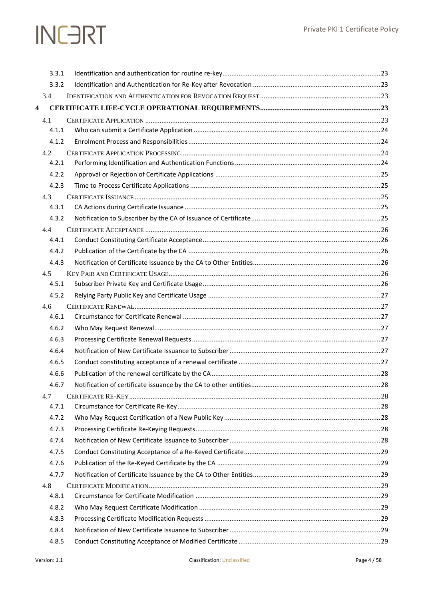|                         | 3.3.1        |  |
|-------------------------|--------------|--|
|                         | 3.3.2        |  |
|                         | 3.4          |  |
| $\overline{\mathbf{4}}$ |              |  |
|                         | 4.1          |  |
|                         | 4.1.1        |  |
|                         | 4.1.2        |  |
|                         | 4.2          |  |
|                         | 4.2.1        |  |
|                         | 4.2.2        |  |
|                         | 4.2.3        |  |
|                         | 4.3          |  |
|                         | 4.3.1        |  |
|                         | 4.3.2        |  |
|                         | 4.4          |  |
|                         | 4.4.1        |  |
|                         | 4.4.2        |  |
|                         | 4.4.3        |  |
|                         | 4.5          |  |
|                         | 4.5.1        |  |
|                         | 4.5.2        |  |
|                         | 4.6<br>4.6.1 |  |
|                         | 4.6.2        |  |
|                         | 4.6.3        |  |
|                         | 4.6.4        |  |
|                         | 4.6.5        |  |
|                         | 4.6.6        |  |
|                         | 4.6.7        |  |
|                         | 4.7          |  |
|                         | 4.7.1        |  |
|                         | 4.7.2        |  |
|                         | 4.7.3        |  |
|                         | 4.7.4        |  |
|                         | 4.7.5        |  |
|                         | 4.7.6        |  |
|                         | 4.7.7        |  |
|                         | 4.8          |  |
|                         | 4.8.1        |  |
|                         | 4.8.2        |  |
|                         | 4.8.3        |  |
|                         | 4.8.4        |  |
|                         | 4.8.5        |  |
|                         |              |  |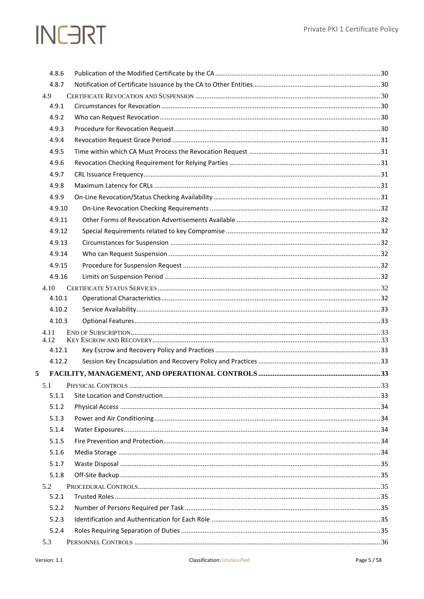|      | 4.8.6  |  |
|------|--------|--|
|      | 4.8.7  |  |
| 4.9  |        |  |
|      | 4.9.1  |  |
|      | 4.9.2  |  |
|      | 4.9.3  |  |
|      | 4.9.4  |  |
|      | 4.9.5  |  |
|      | 4.9.6  |  |
|      | 4.9.7  |  |
|      | 4.9.8  |  |
|      | 4.9.9  |  |
|      | 4.9.10 |  |
|      | 4.9.11 |  |
|      | 4.9.12 |  |
|      | 4.9.13 |  |
|      | 4.9.14 |  |
|      | 4.9.15 |  |
|      | 4.9.16 |  |
| 4.10 |        |  |
|      | 4.10.1 |  |
|      | 4.10.2 |  |
|      | 4.10.3 |  |
| 4.11 |        |  |
| 4.12 | 4.12.1 |  |
|      | 4.12.2 |  |
| 5    |        |  |
|      |        |  |
|      | 5.1.1  |  |
|      | 5.1.2  |  |
|      | 5.1.3  |  |
|      | 5.1.4  |  |
|      | 5.1.5  |  |
|      | 5.1.6  |  |
|      | 5.1.7  |  |
|      | 5.1.8  |  |
| 5.2  |        |  |
|      | 5.2.1  |  |
|      | 5.2.2  |  |
|      | 5.2.3  |  |
|      | 5.2.4  |  |
| 5.3  |        |  |
|      |        |  |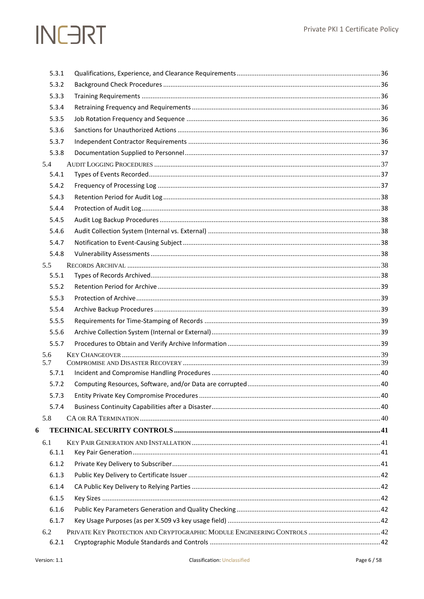|   | 5.3.1      |  |
|---|------------|--|
|   | 5.3.2      |  |
|   | 5.3.3      |  |
|   | 5.3.4      |  |
|   | 5.3.5      |  |
|   | 5.3.6      |  |
|   | 5.3.7      |  |
|   | 5.3.8      |  |
|   | 5.4        |  |
|   | 5.4.1      |  |
|   | 5.4.2      |  |
|   | 5.4.3      |  |
|   | 5.4.4      |  |
|   | 5.4.5      |  |
|   | 5.4.6      |  |
|   | 5.4.7      |  |
|   | 5.4.8      |  |
|   | 5.5        |  |
|   | 5.5.1      |  |
|   | 5.5.2      |  |
|   | 5.5.3      |  |
|   | 5.5.4      |  |
|   | 5.5.5      |  |
|   | 5.5.6      |  |
|   | 5.5.7      |  |
|   | 5.6<br>5.7 |  |
|   | 5.7.1      |  |
|   | 5.7.2      |  |
|   | 5.7.3      |  |
|   | 5.7.4      |  |
|   | 5.8        |  |
| 6 |            |  |
|   | 6.1        |  |
|   | 6.1.1      |  |
|   | 6.1.2      |  |
|   | 6.1.3      |  |
|   | 6.1.4      |  |
|   | 6.1.5      |  |
|   | 6.1.6      |  |
|   | 6.1.7      |  |
|   | 6.2        |  |
|   | 6.2.1      |  |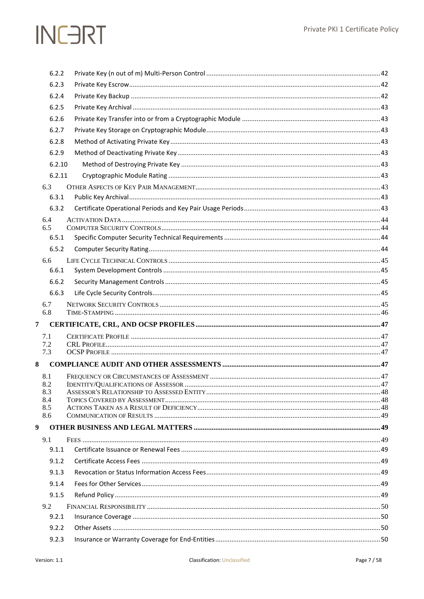|                | 6.2.2      |                                     |  |
|----------------|------------|-------------------------------------|--|
|                | 6.2.3      |                                     |  |
|                | 6.2.4      |                                     |  |
|                | 6.2.5      |                                     |  |
|                | 6.2.6      |                                     |  |
|                | 6.2.7      |                                     |  |
|                | 6.2.8      |                                     |  |
|                | 6.2.9      |                                     |  |
|                | 6.2.10     |                                     |  |
|                | 6.2.11     |                                     |  |
|                | 6.3        |                                     |  |
|                | 6.3.1      |                                     |  |
|                | 6.3.2      |                                     |  |
|                | 6.4        |                                     |  |
|                | 6.5        |                                     |  |
|                | 6.5.1      |                                     |  |
|                | 6.5.2      |                                     |  |
|                | 6.6        |                                     |  |
|                | 6.6.1      |                                     |  |
|                | 6.6.2      |                                     |  |
|                | 6.6.3      |                                     |  |
|                | 6.7<br>6.8 |                                     |  |
| $\overline{7}$ |            |                                     |  |
|                | 7.1        |                                     |  |
|                | 7.2        |                                     |  |
|                | 7.3        |                                     |  |
| 8              |            |                                     |  |
|                | 8.1        |                                     |  |
|                | 8.2<br>8.3 | IDENTITY/OUALIFICATIONS OF ASSESSOR |  |
|                | 8.4        |                                     |  |
|                | 8.5        |                                     |  |
|                | 8.6        |                                     |  |
| 9              |            |                                     |  |
|                | 9.1        |                                     |  |
|                | 9.1.1      |                                     |  |
|                | 9.1.2      |                                     |  |
|                | 9.1.3      |                                     |  |
|                | 9.1.4      |                                     |  |
|                | 9.1.5      |                                     |  |
|                | 9.2        |                                     |  |
|                | 9.2.1      |                                     |  |
|                | 9.2.2      |                                     |  |
|                | 9.2.3      |                                     |  |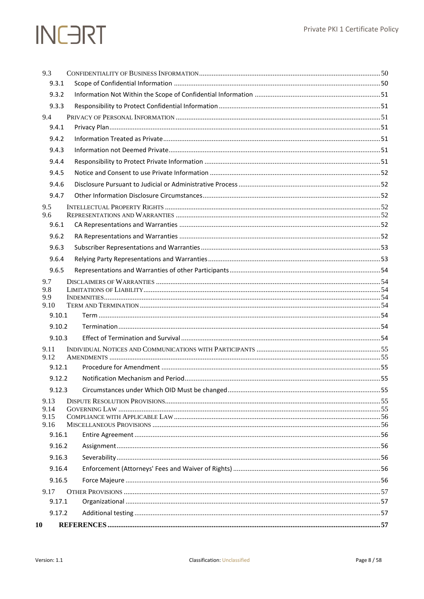| 9.3              |  |
|------------------|--|
| 9.3.1            |  |
| 9.3.2            |  |
| 9.3.3            |  |
| 9.4              |  |
| 9.4.1            |  |
| 9.4.2            |  |
| 9.4.3            |  |
| 9.4.4            |  |
| 9.4.5            |  |
| 9.4.6            |  |
| 9.4.7            |  |
| 9.5              |  |
| 9.6<br>9.6.1     |  |
| 9.6.2            |  |
| 9.6.3            |  |
| 9.6.4            |  |
| 9.6.5            |  |
| 9.7              |  |
| 9.8              |  |
| 9.9              |  |
| 9.10             |  |
| 9.10.1<br>9.10.2 |  |
| 9.10.3           |  |
|                  |  |
| 9.11<br>9.12     |  |
| 9.12.1           |  |
| 9.12.2           |  |
| 9.12.3           |  |
| 9.13             |  |
| 9.14<br>9.15     |  |
| 9.16             |  |
| 9.16.1           |  |
| 9.16.2           |  |
| 9.16.3           |  |
| 9.16.4           |  |
| 9.16.5           |  |
| 9.17             |  |
| 9.17.1           |  |
| 9.17.2           |  |
| 10               |  |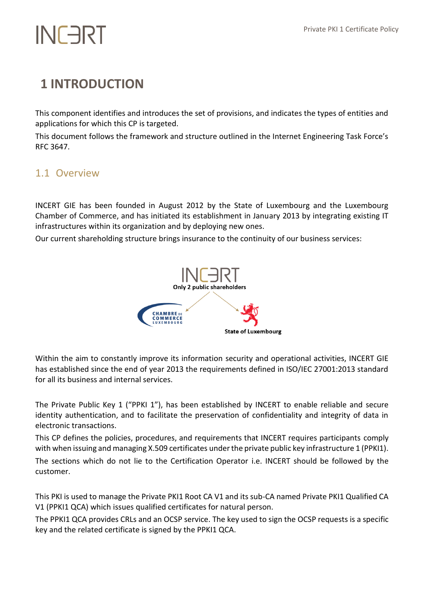## <span id="page-9-0"></span>**1 INTRODUCTION**

This component identifies and introduces the set of provisions, and indicates the types of entities and applications for which this CP is targeted.

This document follows the framework and structure outlined in the Internet Engineering Task Force's RFC 3647.

### <span id="page-9-1"></span>1.1 Overview

INCERT GIE has been founded in August 2012 by the State of Luxembourg and the Luxembourg Chamber of Commerce, and has initiated its establishment in January 2013 by integrating existing IT infrastructures within its organization and by deploying new ones.

Our current shareholding structure brings insurance to the continuity of our business services:



Within the aim to constantly improve its information security and operational activities, INCERT GIE has established since the end of year 2013 the requirements defined in ISO/IEC 27001:2013 standard for all its business and internal services.

The Private Public Key 1 ("PPKI 1"), has been established by INCERT to enable reliable and secure identity authentication, and to facilitate the preservation of confidentiality and integrity of data in electronic transactions.

This CP defines the policies, procedures, and requirements that INCERT requires participants comply with when issuing and managing X.509 certificates under the private public key infrastructure 1 (PPKI1). The sections which do not lie to the Certification Operator i.e. INCERT should be followed by the customer.

This PKI is used to manage the Private PKI1 Root CA V1 and its sub-CA named Private PKI1 Qualified CA V1 (PPKI1 QCA) which issues qualified certificates for natural person.

The PPKI1 QCA provides CRLs and an OCSP service. The key used to sign the OCSP requests is a specific key and the related certificate is signed by the PPKI1 QCA.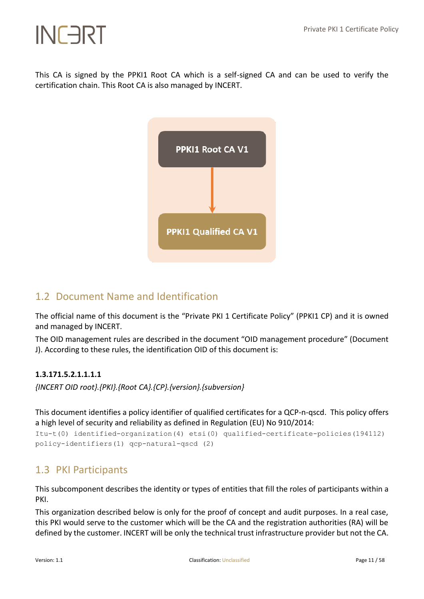This CA is signed by the PPKI1 Root CA which is a self-signed CA and can be used to verify the certification chain. This Root CA is also managed by INCERT.



### <span id="page-10-0"></span>1.2 Document Name and Identification

The official name of this document is the "Private PKI 1 Certificate Policy" (PPKI1 CP) and it is owned and managed by INCERT.

The OID management rules are described in the document "OID management procedure" (Document J). According to these rules, the identification OID of this document is:

#### **1.3.171.5.2.1.1.1.1**

*{INCERT OID root}.{PKI}.{Root CA}.{CP}.{version}.{subversion}*

This document identifies a policy identifier of qualified certificates for a QCP-n-qscd. This policy offers a high level of security and reliability as defined in Regulation (EU) No 910/2014:

```
Itu-t(0) identified-organization(4) etsi(0) qualified-certificate-policies(194112) 
policy-identifiers(1) qcp-natural-qscd (2)
```
### <span id="page-10-1"></span>1.3 PKI Participants

This subcomponent describes the identity or types of entities that fill the roles of participants within a PKI.

This organization described below is only for the proof of concept and audit purposes. In a real case, this PKI would serve to the customer which will be the CA and the registration authorities (RA) will be defined by the customer. INCERT will be only the technical trust infrastructure provider but not the CA.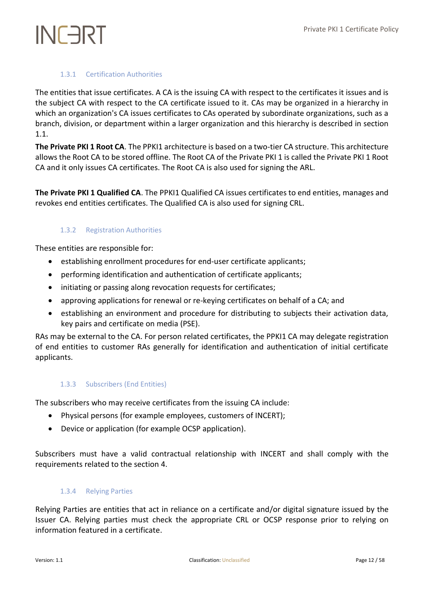#### 1.3.1 Certification Authorities

<span id="page-11-0"></span>The entities that issue certificates. A CA is the issuing CA with respect to the certificates it issues and is the subject CA with respect to the CA certificate issued to it. CAs may be organized in a hierarchy in which an organization's CA issues certificates to CAs operated by subordinate organizations, such as a branch, division, or department within a larger organization and this hierarchy is described in section 1.1.

**The Private PKI 1 Root CA**. The PPKI1 architecture is based on a two-tier CA structure. This architecture allows the Root CA to be stored offline. The Root CA of the Private PKI 1 is called the Private PKI 1 Root CA and it only issues CA certificates. The Root CA is also used for signing the ARL.

<span id="page-11-1"></span>**The Private PKI 1 Qualified CA**. The PPKI1 Qualified CA issues certificates to end entities, manages and revokes end entities certificates. The Qualified CA is also used for signing CRL.

#### 1.3.2 Registration Authorities

These entities are responsible for:

- establishing enrollment procedures for end-user certificate applicants;
- performing identification and authentication of certificate applicants;
- initiating or passing along revocation requests for certificates;
- approving applications for renewal or re-keying certificates on behalf of a CA; and
- establishing an environment and procedure for distributing to subjects their activation data, key pairs and certificate on media (PSE).

RAs may be external to the CA. For person related certificates, the PPKI1 CA may delegate registration of end entities to customer RAs generally for identification and authentication of initial certificate applicants.

#### <span id="page-11-2"></span>1.3.3 Subscribers (End Entities)

The subscribers who may receive certificates from the issuing CA include:

- Physical persons (for example employees, customers of INCERT);
- Device or application (for example OCSP application).

<span id="page-11-3"></span>Subscribers must have a valid contractual relationship with INCERT and shall comply with the requirements related to the section 4.

#### 1.3.4 Relying Parties

Relying Parties are entities that act in reliance on a certificate and/or digital signature issued by the Issuer CA. Relying parties must check the appropriate CRL or OCSP response prior to relying on information featured in a certificate.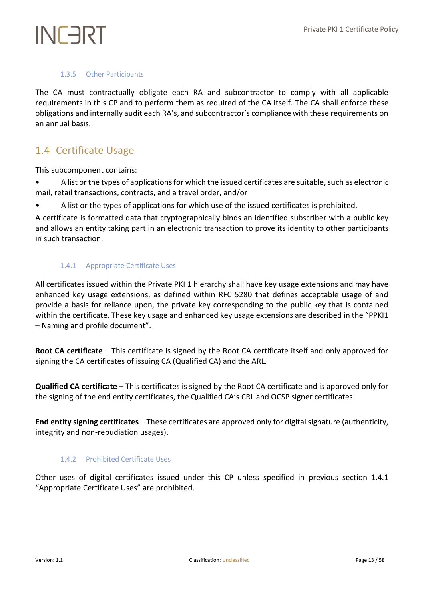#### 1.3.5 Other Participants

<span id="page-12-0"></span>The CA must contractually obligate each RA and subcontractor to comply with all applicable requirements in this CP and to perform them as required of the CA itself. The CA shall enforce these obligations and internally audit each RA's, and subcontractor's compliance with these requirements on an annual basis.

### <span id="page-12-1"></span>1.4 Certificate Usage

This subcomponent contains:

- A list or the types of applications for which the issued certificates are suitable, such as electronic mail, retail transactions, contracts, and a travel order, and/or
- A list or the types of applications for which use of the issued certificates is prohibited.

A certificate is formatted data that cryptographically binds an identified subscriber with a public key and allows an entity taking part in an electronic transaction to prove its identity to other participants in such transaction.

#### <span id="page-12-2"></span>1.4.1 Appropriate Certificate Uses

All certificates issued within the Private PKI 1 hierarchy shall have key usage extensions and may have enhanced key usage extensions, as defined within RFC 5280 that defines acceptable usage of and provide a basis for reliance upon, the private key corresponding to the public key that is contained within the certificate. These key usage and enhanced key usage extensions are described in the "PPKI1 – Naming and profile document".

**Root CA certificate** – This certificate is signed by the Root CA certificate itself and only approved for signing the CA certificates of issuing CA (Qualified CA) and the ARL.

**Qualified CA certificate** – This certificates is signed by the Root CA certificate and is approved only for the signing of the end entity certificates, the Qualified CA's CRL and OCSP signer certificates.

<span id="page-12-3"></span>**End entity signing certificates** – These certificates are approved only for digital signature (authenticity, integrity and non-repudiation usages).

#### 1.4.2 Prohibited Certificate Uses

Other uses of digital certificates issued under this CP unless specified in previous section 1.4.1 "Appropriate Certificate Uses" are prohibited.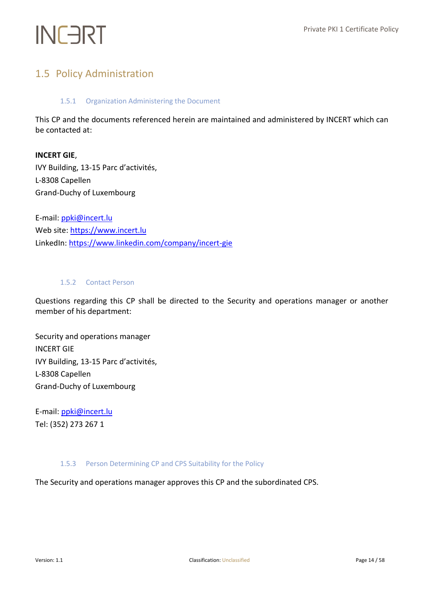### <span id="page-13-1"></span><span id="page-13-0"></span>1.5 Policy Administration

#### 1.5.1 Organization Administering the Document

This CP and the documents referenced herein are maintained and administered by INCERT which can be contacted at:

#### **INCERT GIE**,

IVY Building, 13-15 Parc d'activités, L-8308 Capellen Grand-Duchy of Luxembourg

E-mail: [ppki@incert.lu](mailto:ppki@incert.lu) Web site[: https://www.incert.lu](https://www.incert.lu/) LinkedIn[: https://www.linkedin.com/company/incert-gie](https://www.linkedin.com/company/incert-gie)

#### <span id="page-13-2"></span>1.5.2 Contact Person

Questions regarding this CP shall be directed to the Security and operations manager or another member of his department:

Security and operations manager INCERT GIE IVY Building, 13-15 Parc d'activités, L-8308 Capellen Grand-Duchy of Luxembourg

E-mail: [ppki@incert.lu](mailto:ppki@incert.lu) Tel: (352) 273 267 1

#### <span id="page-13-3"></span>1.5.3 Person Determining CP and CPS Suitability for the Policy

The Security and operations manager approves this CP and the subordinated CPS.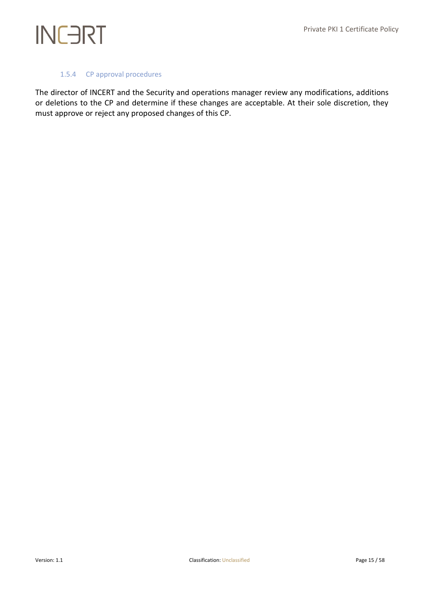#### 1.5.4 CP approval procedures

<span id="page-14-0"></span>The director of INCERT and the Security and operations manager review any modifications, additions or deletions to the CP and determine if these changes are acceptable. At their sole discretion, they must approve or reject any proposed changes of this CP.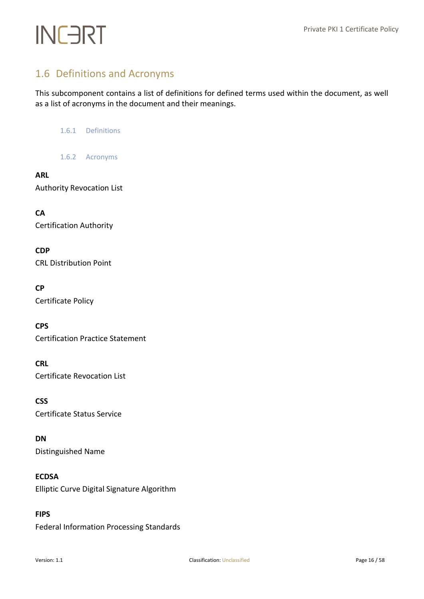## <span id="page-15-0"></span>1.6 Definitions and Acronyms

<span id="page-15-1"></span>This subcomponent contains a list of definitions for defined terms used within the document, as well as a list of acronyms in the document and their meanings.

1.6.1 Definitions

1.6.2 Acronyms

#### <span id="page-15-2"></span>**ARL**

Authority Revocation List

**CA** Certification Authority

**CDP** CRL Distribution Point

#### **CP**

Certificate Policy

**CPS**

Certification Practice Statement

#### **CRL**

Certificate Revocation List

**CSS** Certificate Status Service

#### **DN**

Distinguished Name

#### **ECDSA**

Elliptic Curve Digital Signature Algorithm

#### **FIPS**

Federal Information Processing Standards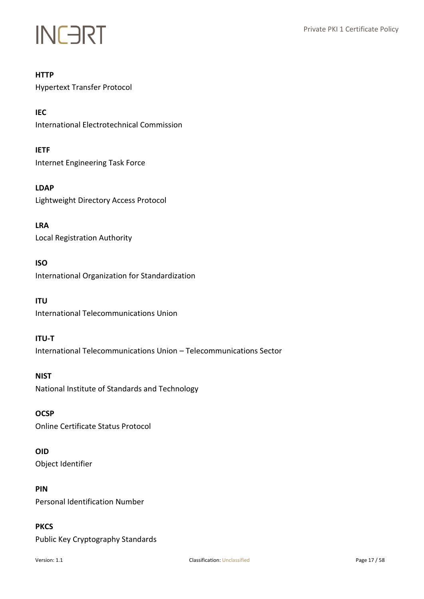#### **HTTP**

Hypertext Transfer Protocol

**IEC** International Electrotechnical Commission

**IETF** Internet Engineering Task Force

**LDAP** Lightweight Directory Access Protocol

**LRA** Local Registration Authority

#### **ISO**

International Organization for Standardization

#### **ITU**

International Telecommunications Union

#### **ITU-T**

International Telecommunications Union – Telecommunications Sector

**NIST** National Institute of Standards and Technology

#### **OCSP**

Online Certificate Status Protocol

#### **OID**

Object Identifier

#### **PIN**

Personal Identification Number

#### **PKCS**

Public Key Cryptography Standards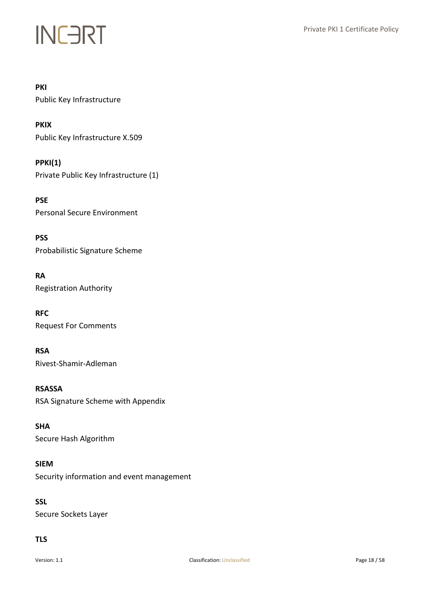#### **PKI**

Public Key Infrastructure

**PKIX** Public Key Infrastructure X.509

**PPKI(1)** Private Public Key Infrastructure (1)

**PSE** Personal Secure Environment

**PSS** Probabilistic Signature Scheme

**RA** Registration Authority

**RFC** Request For Comments

**RSA** Rivest-Shamir-Adleman

**RSASSA** RSA Signature Scheme with Appendix

**SHA** Secure Hash Algorithm

**SIEM** Security information and event management

**SSL** Secure Sockets Layer

#### **TLS**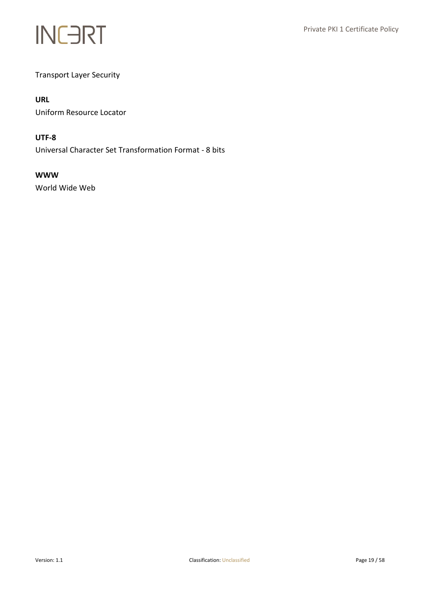

Transport Layer Security

#### **URL**

Uniform Resource Locator

#### **UTF-8**

Universal Character Set Transformation Format - 8 bits

#### **WWW**

World Wide Web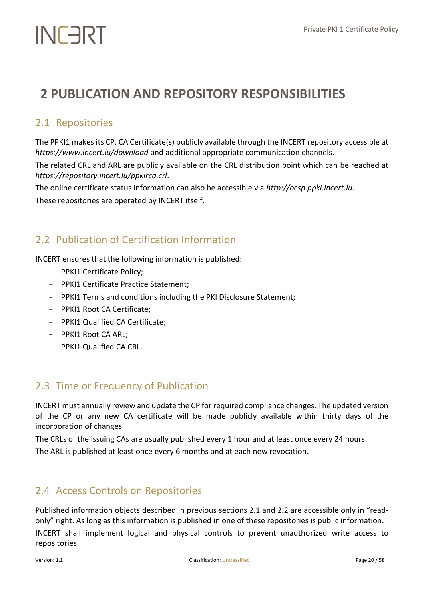## <span id="page-19-0"></span>**2 PUBLICATION AND REPOSITORY RESPONSIBILITIES**

### <span id="page-19-1"></span>2.1 Repositories

The PPKI1 makes its CP, CA Certificate(s) publicly available through the INCERT repository accessible at *https://www.incert.lu/download* and additional appropriate communication channels.

The related CRL and ARL are publicly available on the CRL distribution point which can be reached at *https://repository.incert.lu/ppkirca.crl*.

The online certificate status information can also be accessible via *http://ocsp.ppki.incert.lu*. These repositories are operated by INCERT itself.

### <span id="page-19-2"></span>2.2 Publication of Certification Information

INCERT ensures that the following information is published:

- PPKI1 Certificate Policy;
- PPKI1 Certificate Practice Statement;
- PPKI1 Terms and conditions including the PKI Disclosure Statement;
- PPKI1 Root CA Certificate;
- PPKI1 Qualified CA Certificate;
- PPKI1 Root CA ARL;
- PPKI1 Qualified CA CRL.

### <span id="page-19-3"></span>2.3 Time or Frequency of Publication

INCERT must annually review and update the CP for required compliance changes. The updated version of the CP or any new CA certificate will be made publicly available within thirty days of the incorporation of changes.

The CRLs of the issuing CAs are usually published every 1 hour and at least once every 24 hours.

The ARL is published at least once every 6 months and at each new revocation.

### <span id="page-19-4"></span>2.4 Access Controls on Repositories

Published information objects described in previous sections 2.1 and 2.2 are accessible only in "readonly" right. As long as this information is published in one of these repositories is public information.

INCERT shall implement logical and physical controls to prevent unauthorized write access to repositories.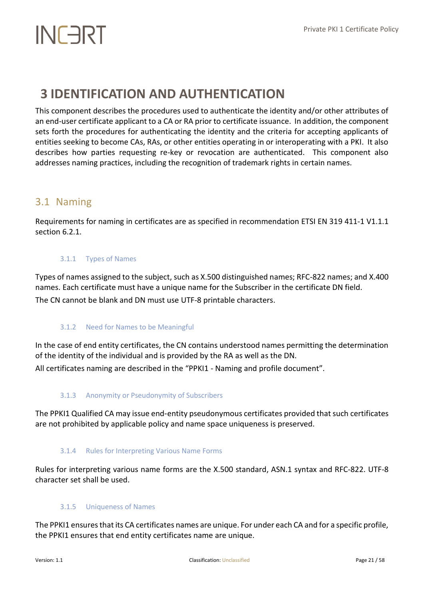## <span id="page-20-0"></span>**3 IDENTIFICATION AND AUTHENTICATION**

This component describes the procedures used to authenticate the identity and/or other attributes of an end-user certificate applicant to a CA or RA prior to certificate issuance. In addition, the component sets forth the procedures for authenticating the identity and the criteria for accepting applicants of entities seeking to become CAs, RAs, or other entities operating in or interoperating with a PKI. It also describes how parties requesting re-key or revocation are authenticated. This component also addresses naming practices, including the recognition of trademark rights in certain names.

### <span id="page-20-1"></span>3.1 Naming

<span id="page-20-2"></span>Requirements for naming in certificates are as specified in recommendation ETSI EN 319 411-1 V1.1.1 section 6.2.1.

#### 3.1.1 Types of Names

Types of names assigned to the subject, such as X.500 distinguished names; RFC-822 names; and X.400 names. Each certificate must have a unique name for the Subscriber in the certificate DN field. The CN cannot be blank and DN must use UTF-8 printable characters.

#### <span id="page-20-3"></span>3.1.2 Need for Names to be Meaningful

In the case of end entity certificates, the CN contains understood names permitting the determination of the identity of the individual and is provided by the RA as well as the DN.

<span id="page-20-4"></span>All certificates naming are described in the "PPKI1 - Naming and profile document".

#### 3.1.3 Anonymity or Pseudonymity of Subscribers

<span id="page-20-5"></span>The PPKI1 Qualified CA may issue end‐entity pseudonymous certificates provided that such certificates are not prohibited by applicable policy and name space uniqueness is preserved.

#### 3.1.4 Rules for Interpreting Various Name Forms

<span id="page-20-6"></span>Rules for interpreting various name forms are the X.500 standard, ASN.1 syntax and RFC-822. UTF-8 character set shall be used.

#### 3.1.5 Uniqueness of Names

The PPKI1 ensures that its CA certificates names are unique. For under each CA and for a specific profile, the PPKI1 ensures that end entity certificates name are unique.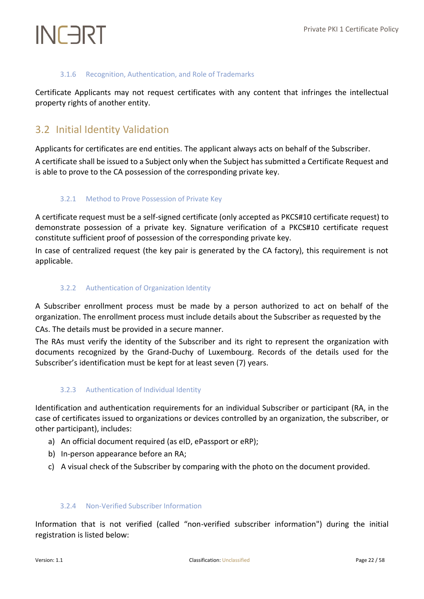#### 3.1.6 Recognition, Authentication, and Role of Trademarks

<span id="page-21-0"></span>Certificate Applicants may not request certificates with any content that infringes the intellectual property rights of another entity.

### <span id="page-21-1"></span>3.2 Initial Identity Validation

Applicants for certificates are end entities. The applicant always acts on behalf of the Subscriber.

<span id="page-21-2"></span>A certificate shall be issued to a Subject only when the Subject has submitted a Certificate Request and is able to prove to the CA possession of the corresponding private key.

#### 3.2.1 Method to Prove Possession of Private Key

A certificate request must be a self-signed certificate (only accepted as PKCS#10 certificate request) to demonstrate possession of a private key. Signature verification of a PKCS#10 certificate request constitute sufficient proof of possession of the corresponding private key.

<span id="page-21-3"></span>In case of centralized request (the key pair is generated by the CA factory), this requirement is not applicable.

#### 3.2.2 Authentication of Organization Identity

A Subscriber enrollment process must be made by a person authorized to act on behalf of the organization. The enrollment process must include details about the Subscriber as requested by the

CAs. The details must be provided in a secure manner.

The RAs must verify the identity of the Subscriber and its right to represent the organization with documents recognized by the Grand-Duchy of Luxembourg. Records of the details used for the Subscriber's identification must be kept for at least seven (7) years.

#### <span id="page-21-4"></span>3.2.3 Authentication of Individual Identity

Identification and authentication requirements for an individual Subscriber or participant (RA, in the case of certificates issued to organizations or devices controlled by an organization, the subscriber, or other participant), includes:

- a) An official document required (as eID, ePassport or eRP);
- b) In-person appearance before an RA;
- <span id="page-21-5"></span>c) A visual check of the Subscriber by comparing with the photo on the document provided.

#### 3.2.4 Non-Verified Subscriber Information

Information that is not verified (called "non-verified subscriber information") during the initial registration is listed below: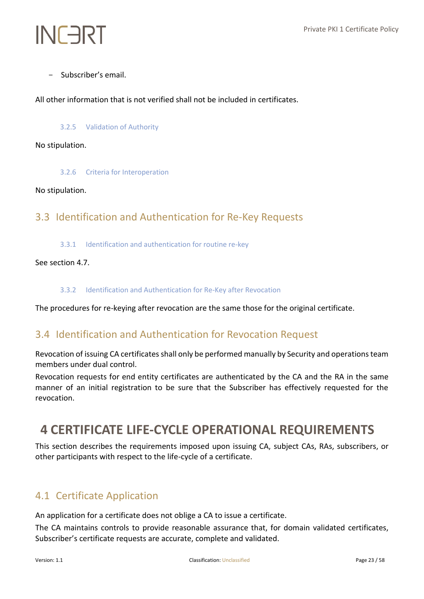- Subscriber's email.

<span id="page-22-0"></span>All other information that is not verified shall not be included in certificates.

#### 3.2.5 Validation of Authority

#### <span id="page-22-1"></span>No stipulation.

3.2.6 Criteria for Interoperation

#### <span id="page-22-2"></span>No stipulation.

### <span id="page-22-3"></span>3.3 Identification and Authentication for Re‐Key Requests

3.3.1 Identification and authentication for routine re-key

#### <span id="page-22-4"></span>See section 4.7.

#### 3.3.2 Identification and Authentication for Re-Key after Revocation

<span id="page-22-5"></span>The procedures for re-keying after revocation are the same those for the original certificate.

### 3.4 Identification and Authentication for Revocation Request

Revocation of issuing CA certificates shall only be performed manually by Security and operations team members under dual control.

Revocation requests for end entity certificates are authenticated by the CA and the RA in the same manner of an initial registration to be sure that the Subscriber has effectively requested for the revocation.

## <span id="page-22-6"></span>**4 CERTIFICATE LIFE-CYCLE OPERATIONAL REQUIREMENTS**

This section describes the requirements imposed upon issuing CA, subject CAs, RAs, subscribers, or other participants with respect to the life-cycle of a certificate.

### <span id="page-22-7"></span>4.1 Certificate Application

An application for a certificate does not oblige a CA to issue a certificate.

The CA maintains controls to provide reasonable assurance that, for domain validated certificates, Subscriber's certificate requests are accurate, complete and validated.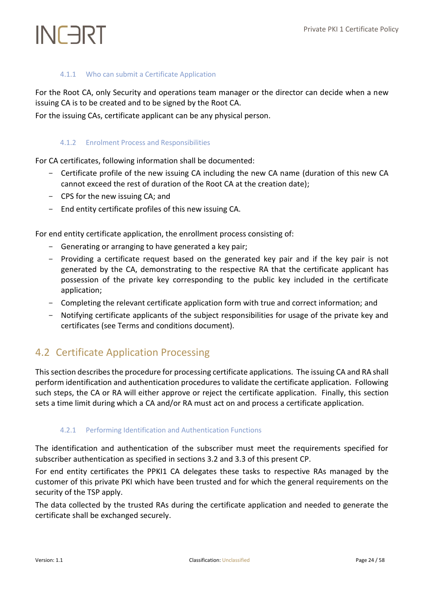#### 4.1.1 Who can submit a Certificate Application

<span id="page-23-0"></span>For the Root CA, only Security and operations team manager or the director can decide when a new issuing CA is to be created and to be signed by the Root CA.

<span id="page-23-1"></span>For the issuing CAs, certificate applicant can be any physical person.

#### 4.1.2 Enrolment Process and Responsibilities

For CA certificates, following information shall be documented:

- Certificate profile of the new issuing CA including the new CA name (duration of this new CA cannot exceed the rest of duration of the Root CA at the creation date);
- CPS for the new issuing CA; and
- End entity certificate profiles of this new issuing CA.

For end entity certificate application, the enrollment process consisting of:

- Generating or arranging to have generated a key pair;
- Providing a certificate request based on the generated key pair and if the key pair is not generated by the CA, demonstrating to the respective RA that the certificate applicant has possession of the private key corresponding to the public key included in the certificate application;
- Completing the relevant certificate application form with true and correct information; and
- Notifying certificate applicants of the subject responsibilities for usage of the private key and certificates (see Terms and conditions document).

### <span id="page-23-2"></span>4.2 Certificate Application Processing

This section describes the procedure for processing certificate applications. The issuing CA and RA shall perform identification and authentication procedures to validate the certificate application. Following such steps, the CA or RA will either approve or reject the certificate application. Finally, this section sets a time limit during which a CA and/or RA must act on and process a certificate application.

#### <span id="page-23-3"></span>4.2.1 Performing Identification and Authentication Functions

The identification and authentication of the subscriber must meet the requirements specified for subscriber authentication as specified in sections 3.2 and 3.3 of this present CP.

For end entity certificates the PPKI1 CA delegates these tasks to respective RAs managed by the customer of this private PKI which have been trusted and for which the general requirements on the security of the TSP apply.

The data collected by the trusted RAs during the certificate application and needed to generate the certificate shall be exchanged securely.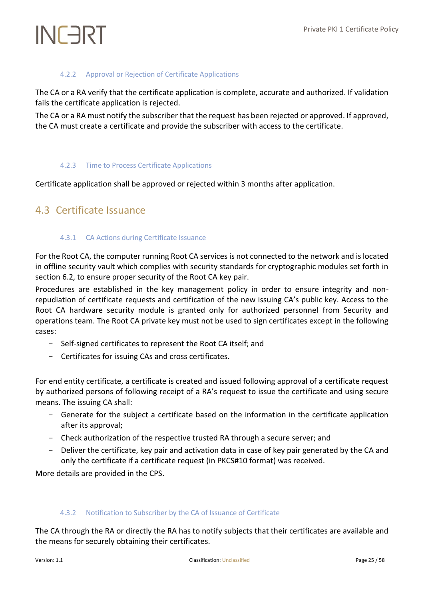#### 4.2.2 Approval or Rejection of Certificate Applications

<span id="page-24-0"></span>The CA or a RA verify that the certificate application is complete, accurate and authorized. If validation fails the certificate application is rejected.

The CA or a RA must notify the subscriber that the request has been rejected or approved. If approved, the CA must create a certificate and provide the subscriber with access to the certificate.

#### <span id="page-24-1"></span>4.2.3 Time to Process Certificate Applications

<span id="page-24-2"></span>Certificate application shall be approved or rejected within 3 months after application.

### <span id="page-24-3"></span>4.3 Certificate Issuance

#### 4.3.1 CA Actions during Certificate Issuance

For the Root CA, the computer running Root CA services is not connected to the network and is located in offline security vault which complies with security standards for cryptographic modules set forth in section 6.2, to ensure proper security of the Root CA key pair.

Procedures are established in the key management policy in order to ensure integrity and nonrepudiation of certificate requests and certification of the new issuing CA's public key. Access to the Root CA hardware security module is granted only for authorized personnel from Security and operations team. The Root CA private key must not be used to sign certificates except in the following cases:

- Self-signed certificates to represent the Root CA itself; and
- Certificates for issuing CAs and cross certificates.

For end entity certificate, a certificate is created and issued following approval of a certificate request by authorized persons of following receipt of a RA's request to issue the certificate and using secure means. The issuing CA shall:

- Generate for the subject a certificate based on the information in the certificate application after its approval;
- Check authorization of the respective trusted RA through a secure server; and
- Deliver the certificate, key pair and activation data in case of key pair generated by the CA and only the certificate if a certificate request (in PKCS#10 format) was received.

<span id="page-24-4"></span>More details are provided in the CPS.

#### 4.3.2 Notification to Subscriber by the CA of Issuance of Certificate

The CA through the RA or directly the RA has to notify subjects that their certificates are available and the means for securely obtaining their certificates.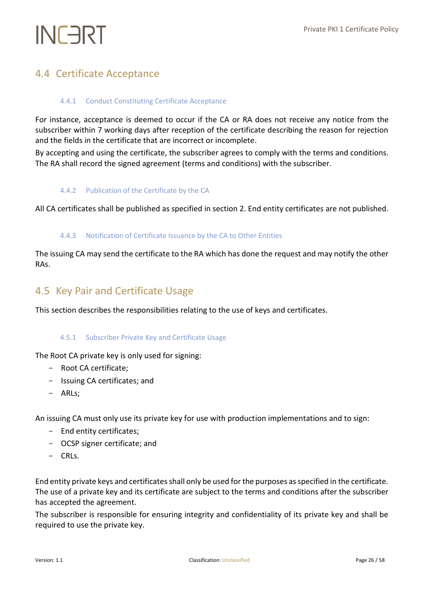### <span id="page-25-1"></span><span id="page-25-0"></span>4.4 Certificate Acceptance

#### 4.4.1 Conduct Constituting Certificate Acceptance

For instance, acceptance is deemed to occur if the CA or RA does not receive any notice from the subscriber within 7 working days after reception of the certificate describing the reason for rejection and the fields in the certificate that are incorrect or incomplete.

<span id="page-25-2"></span>By accepting and using the certificate, the subscriber agrees to comply with the terms and conditions. The RA shall record the signed agreement (terms and conditions) with the subscriber.

#### 4.4.2 Publication of the Certificate by the CA

<span id="page-25-3"></span>All CA certificates shall be published as specified in section 2. End entity certificates are not published.

#### 4.4.3 Notification of Certificate Issuance by the CA to Other Entities

The issuing CA may send the certificate to the RA which has done the request and may notify the other RAs.

#### <span id="page-25-4"></span>4.5 Key Pair and Certificate Usage

<span id="page-25-5"></span>This section describes the responsibilities relating to the use of keys and certificates.

#### 4.5.1 Subscriber Private Key and Certificate Usage

The Root CA private key is only used for signing:

- Root CA certificate;
- Issuing CA certificates; and
- ARLs;

An issuing CA must only use its private key for use with production implementations and to sign:

- End entity certificates;
- OCSP signer certificate; and
- CRLs.

End entity private keys and certificates shall only be used for the purposes as specified in the certificate. The use of a private key and its certificate are subject to the terms and conditions after the subscriber has accepted the agreement.

The subscriber is responsible for ensuring integrity and confidentiality of its private key and shall be required to use the private key.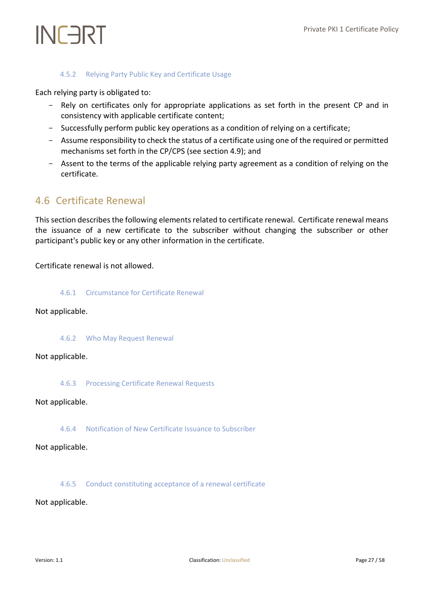#### 4.5.2 Relying Party Public Key and Certificate Usage

<span id="page-26-0"></span>Each relying party is obligated to:

- Rely on certificates only for appropriate applications as set forth in the present CP and in consistency with applicable certificate content;
- Successfully perform public key operations as a condition of relying on a certificate;
- Assume responsibility to check the status of a certificate using one of the required or permitted mechanisms set forth in the CP/CPS (see section 4.9); and
- Assent to the terms of the applicable relying party agreement as a condition of relying on the certificate.

### <span id="page-26-1"></span>4.6 Certificate Renewal

This section describes the following elements related to certificate renewal. Certificate renewal means the issuance of a new certificate to the subscriber without changing the subscriber or other participant's public key or any other information in the certificate.

<span id="page-26-2"></span>Certificate renewal is not allowed.

4.6.1 Circumstance for Certificate Renewal

#### <span id="page-26-3"></span>Not applicable.

4.6.2 Who May Request Renewal

#### <span id="page-26-4"></span>Not applicable.

4.6.3 Processing Certificate Renewal Requests

#### <span id="page-26-5"></span>Not applicable.

4.6.4 Notification of New Certificate Issuance to Subscriber

#### <span id="page-26-6"></span>Not applicable.

4.6.5 Conduct constituting acceptance of a renewal certificate

Not applicable.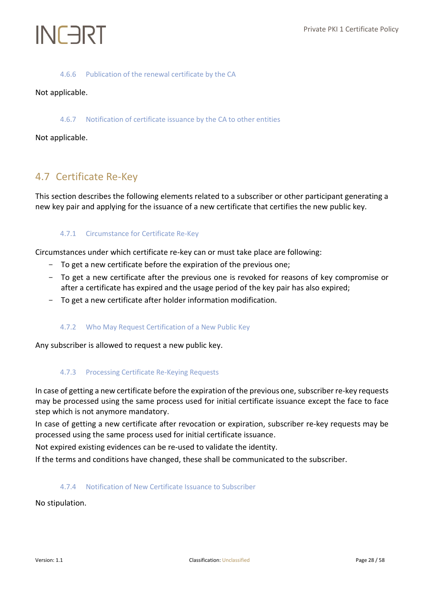#### 4.6.6 Publication of the renewal certificate by the CA

#### <span id="page-27-1"></span><span id="page-27-0"></span>Not applicable.

#### 4.6.7 Notification of certificate issuance by the CA to other entities

#### Not applicable.

### <span id="page-27-2"></span>4.7 Certificate Re‐Key

<span id="page-27-3"></span>This section describes the following elements related to a subscriber or other participant generating a new key pair and applying for the issuance of a new certificate that certifies the new public key.

#### 4.7.1 Circumstance for Certificate Re-Key

Circumstances under which certificate re-key can or must take place are following:

- To get a new certificate before the expiration of the previous one;
- To get a new certificate after the previous one is revoked for reasons of key compromise or after a certificate has expired and the usage period of the key pair has also expired;
- <span id="page-27-4"></span>- To get a new certificate after holder information modification.

#### 4.7.2 Who May Request Certification of a New Public Key

<span id="page-27-5"></span>Any subscriber is allowed to request a new public key.

#### 4.7.3 Processing Certificate Re-Keying Requests

In case of getting a new certificate before the expiration of the previous one, subscriber re-key requests may be processed using the same process used for initial certificate issuance except the face to face step which is not anymore mandatory.

In case of getting a new certificate after revocation or expiration, subscriber re-key requests may be processed using the same process used for initial certificate issuance.

Not expired existing evidences can be re-used to validate the identity.

<span id="page-27-6"></span>If the terms and conditions have changed, these shall be communicated to the subscriber.

#### 4.7.4 Notification of New Certificate Issuance to Subscriber

No stipulation.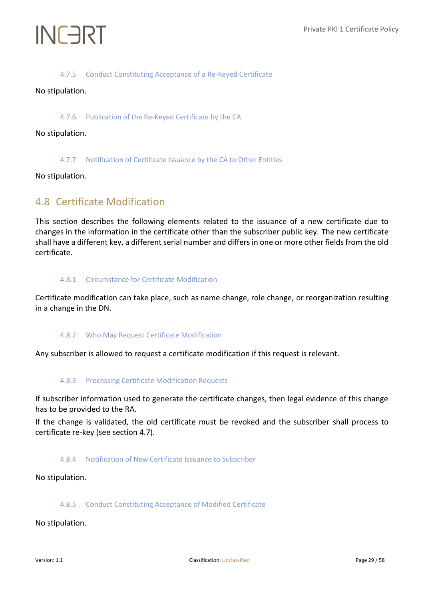#### 4.7.5 Conduct Constituting Acceptance of a Re-Keyed Certificate

<span id="page-28-1"></span><span id="page-28-0"></span>No stipulation.

#### 4.7.6 Publication of the Re-Keyed Certificate by the CA

<span id="page-28-2"></span>No stipulation.

#### 4.7.7 Notification of Certificate Issuance by the CA to Other Entities

<span id="page-28-3"></span>No stipulation.

### 4.8 Certificate Modification

This section describes the following elements related to the issuance of a new certificate due to changes in the information in the certificate other than the subscriber public key. The new certificate shall have a different key, a different serial number and differs in one or more other fields from the old certificate.

#### <span id="page-28-4"></span>4.8.1 Circumstance for Certificate Modification

<span id="page-28-5"></span>Certificate modification can take place, such as name change, role change, or reorganization resulting in a change in the DN.

#### 4.8.2 Who May Request Certificate Modification

<span id="page-28-6"></span>Any subscriber is allowed to request a certificate modification if this request is relevant.

#### 4.8.3 Processing Certificate Modification Requests

If subscriber information used to generate the certificate changes, then legal evidence of this change has to be provided to the RA.

<span id="page-28-7"></span>If the change is validated, the old certificate must be revoked and the subscriber shall process to certificate re-key (see section 4.7).

#### 4.8.4 Notification of New Certificate Issuance to Subscriber

<span id="page-28-8"></span>No stipulation.

#### 4.8.5 Conduct Constituting Acceptance of Modified Certificate

No stipulation.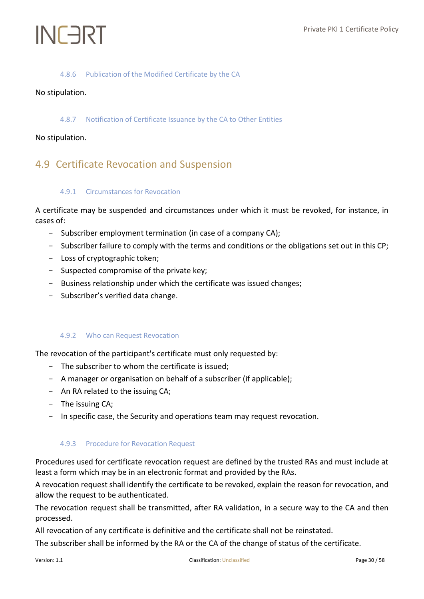#### 4.8.6 Publication of the Modified Certificate by the CA

#### <span id="page-29-1"></span><span id="page-29-0"></span>No stipulation.

#### 4.8.7 Notification of Certificate Issuance by the CA to Other Entities

#### <span id="page-29-2"></span>No stipulation.

### <span id="page-29-3"></span>4.9 Certificate Revocation and Suspension

#### 4.9.1 Circumstances for Revocation

A certificate may be suspended and circumstances under which it must be revoked, for instance, in cases of:

- Subscriber employment termination (in case of a company CA);
- Subscriber failure to comply with the terms and conditions or the obligations set out in this CP;
- Loss of cryptographic token;
- Suspected compromise of the private key;
- Business relationship under which the certificate was issued changes;
- <span id="page-29-4"></span>- Subscriber's verified data change.

#### 4.9.2 Who can Request Revocation

The revocation of the participant's certificate must only requested by:

- The subscriber to whom the certificate is issued;
- A manager or organisation on behalf of a subscriber (if applicable);
- An RA related to the issuing CA;
- The issuing CA;
- <span id="page-29-5"></span>- In specific case, the Security and operations team may request revocation.

#### 4.9.3 Procedure for Revocation Request

Procedures used for certificate revocation request are defined by the trusted RAs and must include at least a form which may be in an electronic format and provided by the RAs.

A revocation request shall identify the certificate to be revoked, explain the reason for revocation, and allow the request to be authenticated.

The revocation request shall be transmitted, after RA validation, in a secure way to the CA and then processed.

All revocation of any certificate is definitive and the certificate shall not be reinstated.

The subscriber shall be informed by the RA or the CA of the change of status of the certificate.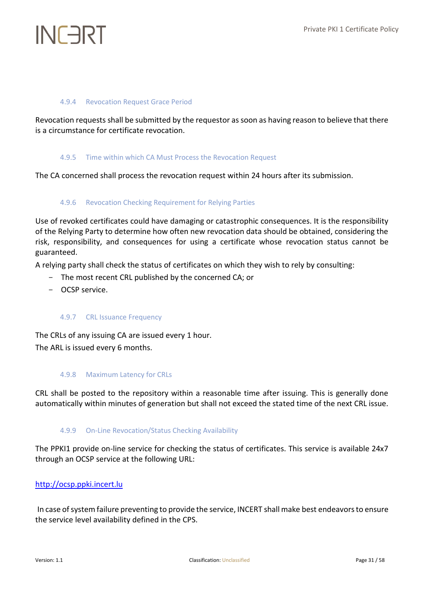## INFART

#### <span id="page-30-0"></span>4.9.4 Revocation Request Grace Period

<span id="page-30-1"></span>Revocation requests shall be submitted by the requestor as soon as having reason to believe that there is a circumstance for certificate revocation.

#### 4.9.5 Time within which CA Must Process the Revocation Request

<span id="page-30-2"></span>The CA concerned shall process the revocation request within 24 hours after its submission.

#### 4.9.6 Revocation Checking Requirement for Relying Parties

Use of revoked certificates could have damaging or catastrophic consequences. It is the responsibility of the Relying Party to determine how often new revocation data should be obtained, considering the risk, responsibility, and consequences for using a certificate whose revocation status cannot be guaranteed.

A relying party shall check the status of certificates on which they wish to rely by consulting:

- The most recent CRL published by the concerned CA; or
- <span id="page-30-3"></span>- OCSP service.

#### 4.9.7 CRL Issuance Frequency

<span id="page-30-4"></span>The CRLs of any issuing CA are issued every 1 hour. The ARL is issued every 6 months.

#### 4.9.8 Maximum Latency for CRLs

<span id="page-30-5"></span>CRL shall be posted to the repository within a reasonable time after issuing. This is generally done automatically within minutes of generation but shall not exceed the stated time of the next CRL issue.

#### 4.9.9 On-Line Revocation/Status Checking Availability

The PPKI1 provide on-line service for checking the status of certificates. This service is available 24x7 through an OCSP service at the following URL:

#### [http://ocsp.ppki.incert.lu](http://ocsp.ppki.incert.lu/)

In case of system failure preventing to provide the service, INCERT shall make best endeavorsto ensure the service level availability defined in the CPS.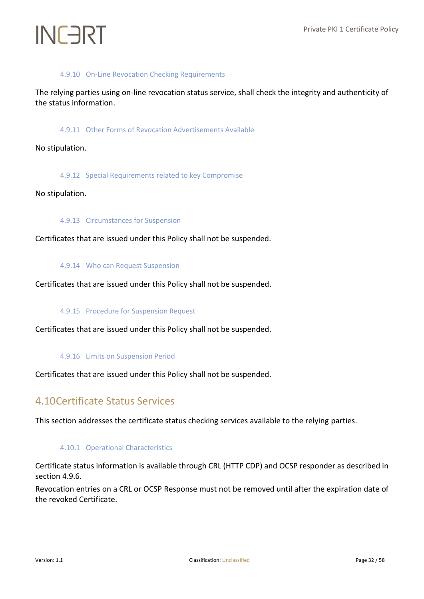#### 4.9.10 On-Line Revocation Checking Requirements

<span id="page-31-1"></span><span id="page-31-0"></span>The relying parties using on-line revocation status service, shall check the integrity and authenticity of the status information.

4.9.11 Other Forms of Revocation Advertisements Available

<span id="page-31-2"></span>No stipulation.

4.9.12 Special Requirements related to key Compromise

<span id="page-31-3"></span>No stipulation.

#### 4.9.13 Circumstances for Suspension

<span id="page-31-4"></span>Certificates that are issued under this Policy shall not be suspended.

#### 4.9.14 Who can Request Suspension

<span id="page-31-5"></span>Certificates that are issued under this Policy shall not be suspended.

#### 4.9.15 Procedure for Suspension Request

<span id="page-31-6"></span>Certificates that are issued under this Policy shall not be suspended.

#### 4.9.16 Limits on Suspension Period

<span id="page-31-7"></span>Certificates that are issued under this Policy shall not be suspended.

### 4.10Certificate Status Services

<span id="page-31-8"></span>This section addresses the certificate status checking services available to the relying parties.

#### 4.10.1 Operational Characteristics

Certificate status information is available through CRL (HTTP CDP) and OCSP responder as described in section 4.9.6.

Revocation entries on a CRL or OCSP Response must not be removed until after the expiration date of the revoked Certificate.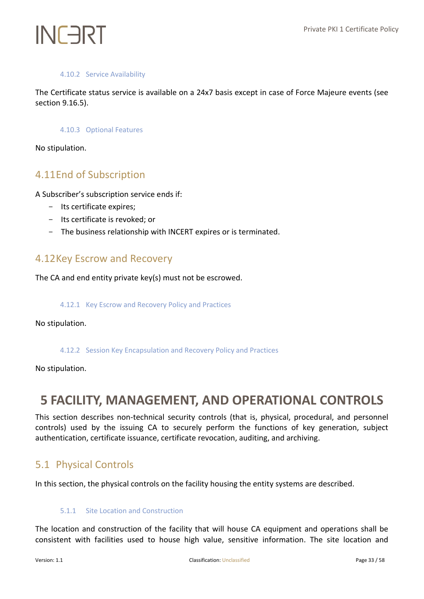#### 4.10.2 Service Availability

<span id="page-32-1"></span><span id="page-32-0"></span>The Certificate status service is available on a 24x7 basis except in case of Force Majeure events (see section 9.16.5).

#### 4.10.3 Optional Features

No stipulation.

### <span id="page-32-2"></span>4.11End of Subscription

A Subscriber's subscription service ends if:

- Its certificate expires;
- Its certificate is revoked; or
- The business relationship with INCERT expires or is terminated.

### <span id="page-32-3"></span>4.12Key Escrow and Recovery

<span id="page-32-4"></span>The CA and end entity private key(s) must not be escrowed.

#### 4.12.1 Key Escrow and Recovery Policy and Practices

<span id="page-32-5"></span>No stipulation.

#### 4.12.2 Session Key Encapsulation and Recovery Policy and Practices

No stipulation.

## <span id="page-32-6"></span>**5 FACILITY, MANAGEMENT, AND OPERATIONAL CONTROLS**

This section describes non-technical security controls (that is, physical, procedural, and personnel controls) used by the issuing CA to securely perform the functions of key generation, subject authentication, certificate issuance, certificate revocation, auditing, and archiving.

### <span id="page-32-7"></span>5.1 Physical Controls

<span id="page-32-8"></span>In this section, the physical controls on the facility housing the entity systems are described.

#### 5.1.1 Site Location and Construction

The location and construction of the facility that will house CA equipment and operations shall be consistent with facilities used to house high value, sensitive information. The site location and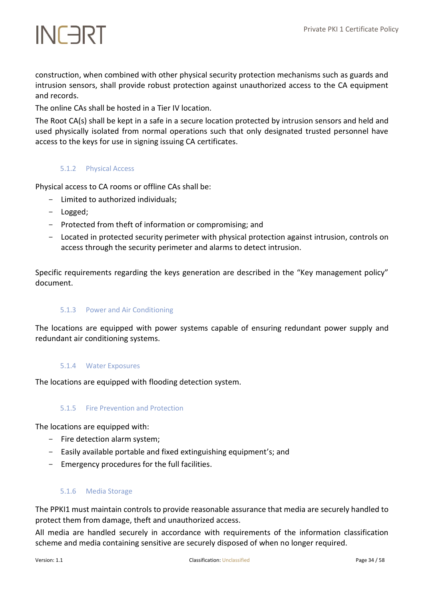construction, when combined with other physical security protection mechanisms such as guards and intrusion sensors, shall provide robust protection against unauthorized access to the CA equipment and records.

The online CAs shall be hosted in a Tier IV location.

The Root CA(s) shall be kept in a safe in a secure location protected by intrusion sensors and held and used physically isolated from normal operations such that only designated trusted personnel have access to the keys for use in signing issuing CA certificates.

#### <span id="page-33-0"></span>5.1.2 Physical Access

Physical access to CA rooms or offline CAs shall be:

- Limited to authorized individuals;
- Logged;
- Protected from theft of information or compromising; and
- Located in protected security perimeter with physical protection against intrusion, controls on access through the security perimeter and alarms to detect intrusion.

<span id="page-33-1"></span>Specific requirements regarding the keys generation are described in the "Key management policy" document.

#### 5.1.3 Power and Air Conditioning

<span id="page-33-2"></span>The locations are equipped with power systems capable of ensuring redundant power supply and redundant air conditioning systems.

#### 5.1.4 Water Exposures

<span id="page-33-3"></span>The locations are equipped with flooding detection system.

#### 5.1.5 Fire Prevention and Protection

The locations are equipped with:

- Fire detection alarm system;
- Easily available portable and fixed extinguishing equipment's; and
- <span id="page-33-4"></span>- Emergency procedures for the full facilities.

#### 5.1.6 Media Storage

The PPKI1 must maintain controls to provide reasonable assurance that media are securely handled to protect them from damage, theft and unauthorized access.

All media are handled securely in accordance with requirements of the information classification scheme and media containing sensitive are securely disposed of when no longer required.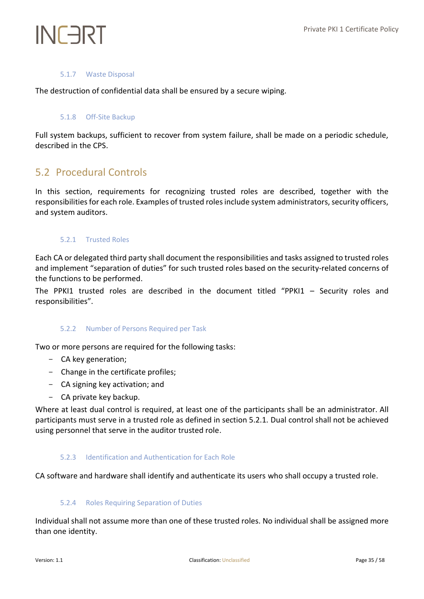#### 5.1.7 Waste Disposal

<span id="page-34-1"></span><span id="page-34-0"></span>The destruction of confidential data shall be ensured by a secure wiping.

#### 5.1.8 Off-Site Backup

Full system backups, sufficient to recover from system failure, shall be made on a periodic schedule, described in the CPS.

### <span id="page-34-2"></span>5.2 Procedural Controls

In this section, requirements for recognizing trusted roles are described, together with the responsibilities for each role. Examples of trusted roles include system administrators, security officers, and system auditors.

#### <span id="page-34-3"></span>5.2.1 Trusted Roles

Each CA or delegated third party shall document the responsibilities and tasks assigned to trusted roles and implement "separation of duties" for such trusted roles based on the security-related concerns of the functions to be performed.

<span id="page-34-4"></span>The PPKI1 trusted roles are described in the document titled "PPKI1 – Security roles and responsibilities".

#### 5.2.2 Number of Persons Required per Task

Two or more persons are required for the following tasks:

- CA key generation;
- Change in the certificate profiles;
- CA signing key activation; and
- CA private key backup.

Where at least dual control is required, at least one of the participants shall be an administrator. All participants must serve in a trusted role as defined in section 5.2.1. Dual control shall not be achieved using personnel that serve in the auditor trusted role.

#### <span id="page-34-5"></span>5.2.3 Identification and Authentication for Each Role

<span id="page-34-6"></span>CA software and hardware shall identify and authenticate its users who shall occupy a trusted role.

#### 5.2.4 Roles Requiring Separation of Duties

Individual shall not assume more than one of these trusted roles. No individual shall be assigned more than one identity.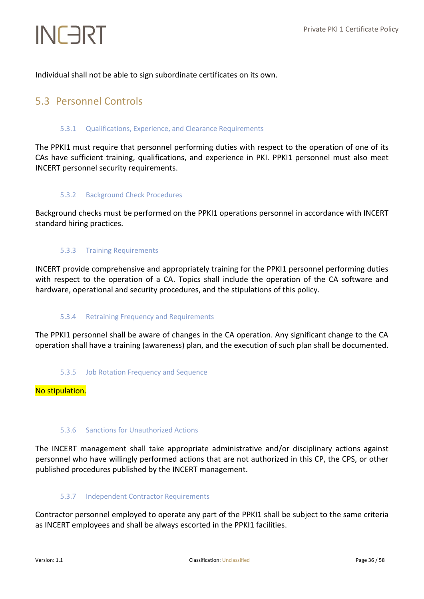Individual shall not be able to sign subordinate certificates on its own.

### <span id="page-35-1"></span><span id="page-35-0"></span>5.3 Personnel Controls

#### 5.3.1 Qualifications, Experience, and Clearance Requirements

The PPKI1 must require that personnel performing duties with respect to the operation of one of its CAs have sufficient training, qualifications, and experience in PKI. PPKI1 personnel must also meet INCERT personnel security requirements.

#### <span id="page-35-2"></span>5.3.2 Background Check Procedures

<span id="page-35-3"></span>Background checks must be performed on the PPKI1 operations personnel in accordance with INCERT standard hiring practices.

#### 5.3.3 Training Requirements

INCERT provide comprehensive and appropriately training for the PPKI1 personnel performing duties with respect to the operation of a CA. Topics shall include the operation of the CA software and hardware, operational and security procedures, and the stipulations of this policy.

#### <span id="page-35-4"></span>5.3.4 Retraining Frequency and Requirements

<span id="page-35-5"></span>The PPKI1 personnel shall be aware of changes in the CA operation. Any significant change to the CA operation shall have a training (awareness) plan, and the execution of such plan shall be documented.

5.3.5 Job Rotation Frequency and Sequence

#### <span id="page-35-6"></span>No stipulation.

#### 5.3.6 Sanctions for Unauthorized Actions

The INCERT management shall take appropriate administrative and/or disciplinary actions against personnel who have willingly performed actions that are not authorized in this CP, the CPS, or other published procedures published by the INCERT management.

#### <span id="page-35-7"></span>5.3.7 Independent Contractor Requirements

Contractor personnel employed to operate any part of the PPKI1 shall be subject to the same criteria as INCERT employees and shall be always escorted in the PPKI1 facilities.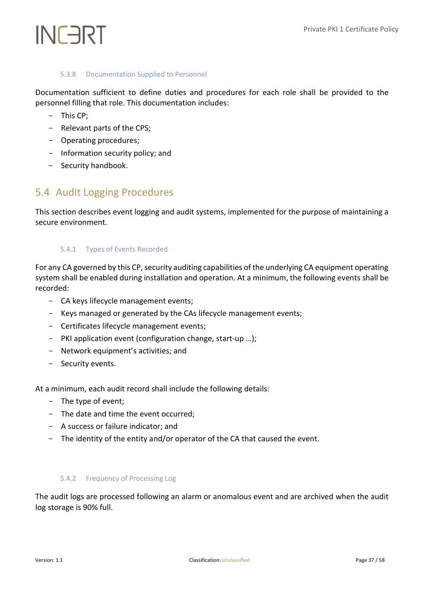#### 5.3.8 Documentation Supplied to Personnel

<span id="page-36-0"></span>Documentation sufficient to define duties and procedures for each role shall be provided to the personnel filling that role. This documentation includes:

- This CP;
- Relevant parts of the CPS;
- Operating procedures;
- Information security policy; and
- Security handbook.

### <span id="page-36-1"></span>5.4 Audit Logging Procedures

<span id="page-36-2"></span>This section describes event logging and audit systems, implemented for the purpose of maintaining a secure environment.

#### 5.4.1 Types of Events Recorded

For any CA governed by this CP, security auditing capabilities of the underlying CA equipment operating system shall be enabled during installation and operation. At a minimum, the following events shall be recorded:

- CA keys lifecycle management events;
- Keys managed or generated by the CAs lifecycle management events;
- Certificates lifecycle management events;
- PKI application event (configuration change, start-up …);
- Network equipment's activities; and
- Security events.

At a minimum, each audit record shall include the following details:

- The type of event;
- The date and time the event occurred;
- A success or failure indicator; and
- <span id="page-36-3"></span>- The identity of the entity and/or operator of the CA that caused the event.

#### 5.4.2 Frequency of Processing Log

The audit logs are processed following an alarm or anomalous event and are archived when the audit log storage is 90% full.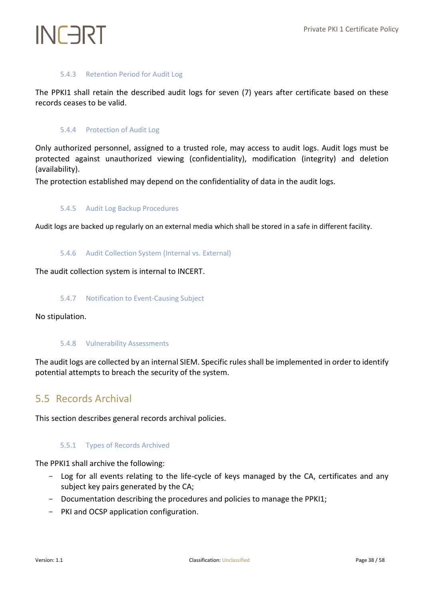#### 5.4.3 Retention Period for Audit Log

<span id="page-37-1"></span><span id="page-37-0"></span>The PPKI1 shall retain the described audit logs for seven (7) years after certificate based on these records ceases to be valid.

#### 5.4.4 Protection of Audit Log

Only authorized personnel, assigned to a trusted role, may access to audit logs. Audit logs must be protected against unauthorized viewing (confidentiality), modification (integrity) and deletion (availability).

<span id="page-37-2"></span>The protection established may depend on the confidentiality of data in the audit logs.

#### 5.4.5 Audit Log Backup Procedures

<span id="page-37-3"></span>Audit logs are backed up regularly on an external media which shall be stored in a safe in different facility.

#### 5.4.6 Audit Collection System (Internal vs. External)

<span id="page-37-4"></span>The audit collection system is internal to INCERT.

#### 5.4.7 Notification to Event-Causing Subject

<span id="page-37-5"></span>No stipulation.

#### 5.4.8 Vulnerability Assessments

The audit logs are collected by an internal SIEM. Specific rules shall be implemented in order to identify potential attempts to breach the security of the system.

### <span id="page-37-6"></span>5.5 Records Archival

<span id="page-37-7"></span>This section describes general records archival policies.

#### 5.5.1 Types of Records Archived

The PPKI1 shall archive the following:

- Log for all events relating to the life-cycle of keys managed by the CA, certificates and any subject key pairs generated by the CA;
- Documentation describing the procedures and policies to manage the PPKI1;
- PKI and OCSP application configuration.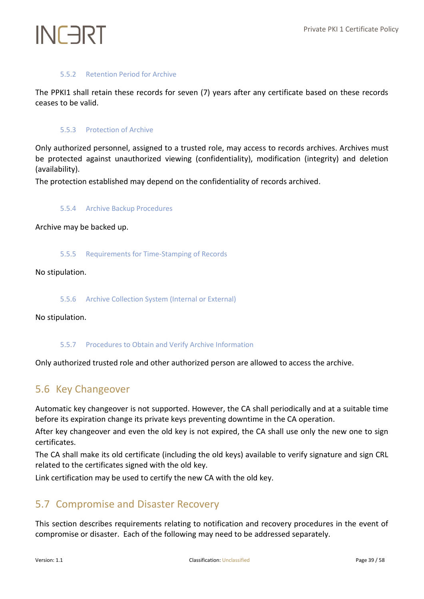## INFART

#### 5.5.2 Retention Period for Archive

<span id="page-38-1"></span><span id="page-38-0"></span>The PPKI1 shall retain these records for seven (7) years after any certificate based on these records ceases to be valid.

#### 5.5.3 Protection of Archive

Only authorized personnel, assigned to a trusted role, may access to records archives. Archives must be protected against unauthorized viewing (confidentiality), modification (integrity) and deletion (availability).

<span id="page-38-2"></span>The protection established may depend on the confidentiality of records archived.

#### 5.5.4 Archive Backup Procedures

<span id="page-38-3"></span>Archive may be backed up.

#### 5.5.5 Requirements for Time-Stamping of Records

<span id="page-38-4"></span>No stipulation.

5.5.6 Archive Collection System (Internal or External)

<span id="page-38-5"></span>No stipulation.

#### 5.5.7 Procedures to Obtain and Verify Archive Information

<span id="page-38-6"></span>Only authorized trusted role and other authorized person are allowed to access the archive.

### 5.6 Key Changeover

Automatic key changeover is not supported. However, the CA shall periodically and at a suitable time before its expiration change its private keys preventing downtime in the CA operation.

After key changeover and even the old key is not expired, the CA shall use only the new one to sign certificates.

The CA shall make its old certificate (including the old keys) available to verify signature and sign CRL related to the certificates signed with the old key.

<span id="page-38-7"></span>Link certification may be used to certify the new CA with the old key.

### 5.7 Compromise and Disaster Recovery

This section describes requirements relating to notification and recovery procedures in the event of compromise or disaster. Each of the following may need to be addressed separately.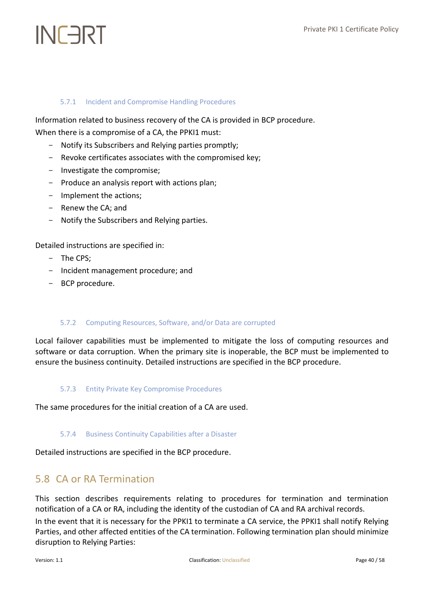## INFART

#### <span id="page-39-0"></span>5.7.1 Incident and Compromise Handling Procedures

Information related to business recovery of the CA is provided in BCP procedure.

When there is a compromise of a CA, the PPKI1 must:

- Notify its Subscribers and Relying parties promptly;
- Revoke certificates associates with the compromised key;
- Investigate the compromise;
- Produce an analysis report with actions plan;
- Implement the actions;
- Renew the CA; and
- Notify the Subscribers and Relying parties.

Detailed instructions are specified in:

- The CPS;
- Incident management procedure; and
- <span id="page-39-1"></span>- BCP procedure.

#### 5.7.2 Computing Resources, Software, and/or Data are corrupted

Local failover capabilities must be implemented to mitigate the loss of computing resources and software or data corruption. When the primary site is inoperable, the BCP must be implemented to ensure the business continuity. Detailed instructions are specified in the BCP procedure.

#### <span id="page-39-2"></span>5.7.3 Entity Private Key Compromise Procedures

<span id="page-39-3"></span>The same procedures for the initial creation of a CA are used.

#### 5.7.4 Business Continuity Capabilities after a Disaster

<span id="page-39-4"></span>Detailed instructions are specified in the BCP procedure.

### 5.8 CA or RA Termination

This section describes requirements relating to procedures for termination and termination notification of a CA or RA, including the identity of the custodian of CA and RA archival records.

In the event that it is necessary for the PPKI1 to terminate a CA service, the PPKI1 shall notify Relying Parties, and other affected entities of the CA termination. Following termination plan should minimize disruption to Relying Parties: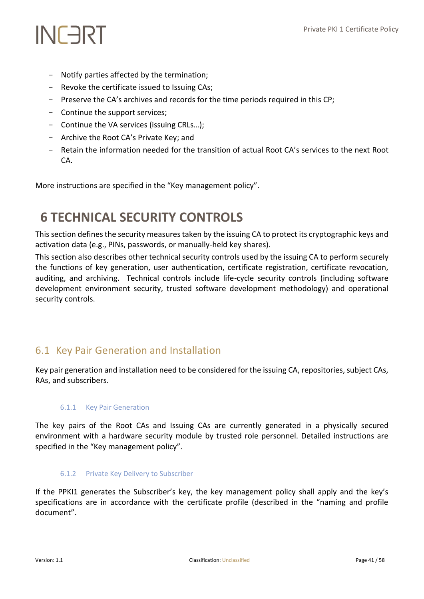- Notify parties affected by the termination;
- Revoke the certificate issued to Issuing CAs;
- Preserve the CA's archives and records for the time periods required in this CP;
- Continue the support services;
- Continue the VA services (issuing CRLs…);
- Archive the Root CA's Private Key; and
- Retain the information needed for the transition of actual Root CA's services to the next Root CA.

More instructions are specified in the "Key management policy".

## <span id="page-40-0"></span>**6 TECHNICAL SECURITY CONTROLS**

This section defines the security measures taken by the issuing CA to protect its cryptographic keys and activation data (e.g., PINs, passwords, or manually-held key shares).

This section also describes other technical security controls used by the issuing CA to perform securely the functions of key generation, user authentication, certificate registration, certificate revocation, auditing, and archiving. Technical controls include life-cycle security controls (including software development environment security, trusted software development methodology) and operational security controls.

### <span id="page-40-1"></span>6.1 Key Pair Generation and Installation

<span id="page-40-2"></span>Key pair generation and installation need to be considered for the issuing CA, repositories, subject CAs, RAs, and subscribers.

#### 6.1.1 Key Pair Generation

The key pairs of the Root CAs and Issuing CAs are currently generated in a physically secured environment with a hardware security module by trusted role personnel. Detailed instructions are specified in the "Key management policy".

#### <span id="page-40-3"></span>6.1.2 Private Key Delivery to Subscriber

If the PPKI1 generates the Subscriber's key, the key management policy shall apply and the key's specifications are in accordance with the certificate profile (described in the "naming and profile document".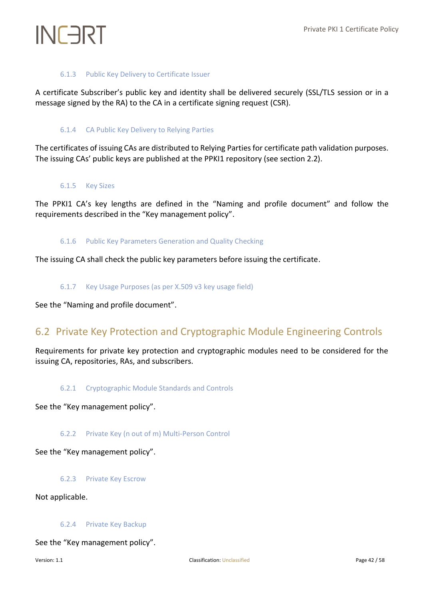#### 6.1.3 Public Key Delivery to Certificate Issuer

<span id="page-41-1"></span><span id="page-41-0"></span>A certificate Subscriber's public key and identity shall be delivered securely (SSL/TLS session or in a message signed by the RA) to the CA in a certificate signing request (CSR).

#### 6.1.4 CA Public Key Delivery to Relying Parties

<span id="page-41-2"></span>The certificates of issuing CAs are distributed to Relying Parties for certificate path validation purposes. The issuing CAs' public keys are published at the PPKI1 repository (see section 2.2).

#### 6.1.5 Key Sizes

<span id="page-41-3"></span>The PPKI1 CA's key lengths are defined in the "Naming and profile document" and follow the requirements described in the "Key management policy".

#### 6.1.6 Public Key Parameters Generation and Quality Checking

<span id="page-41-4"></span>The issuing CA shall check the public key parameters before issuing the certificate.

#### 6.1.7 Key Usage Purposes (as per X.509 v3 key usage field)

<span id="page-41-5"></span>See the "Naming and profile document".

### 6.2 Private Key Protection and Cryptographic Module Engineering Controls

<span id="page-41-6"></span>Requirements for private key protection and cryptographic modules need to be considered for the issuing CA, repositories, RAs, and subscribers.

#### 6.2.1 Cryptographic Module Standards and Controls

<span id="page-41-7"></span>See the "Key management policy".

#### 6.2.2 Private Key (n out of m) Multi-Person Control

<span id="page-41-8"></span>See the "Key management policy".

#### 6.2.3 Private Key Escrow

<span id="page-41-9"></span>Not applicable.

#### 6.2.4 Private Key Backup

See the "Key management policy".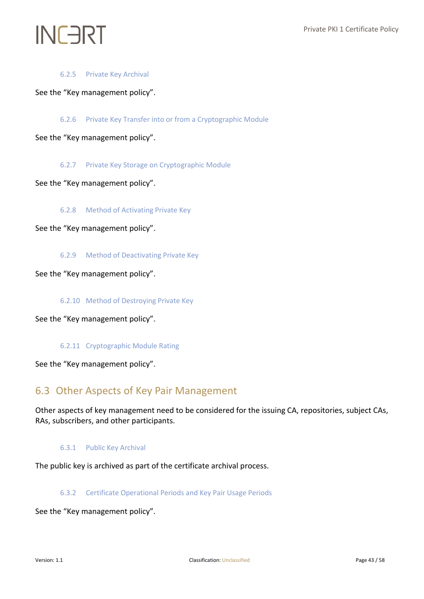#### 6.2.5 Private Key Archival

<span id="page-42-1"></span><span id="page-42-0"></span>See the "Key management policy".

6.2.6 Private Key Transfer into or from a Cryptographic Module

<span id="page-42-2"></span>See the "Key management policy".

6.2.7 Private Key Storage on Cryptographic Module

<span id="page-42-3"></span>See the "Key management policy".

6.2.8 Method of Activating Private Key

<span id="page-42-4"></span>See the "Key management policy".

6.2.9 Method of Deactivating Private Key

<span id="page-42-5"></span>See the "Key management policy".

6.2.10 Method of Destroying Private Key

<span id="page-42-6"></span>See the "Key management policy".

6.2.11 Cryptographic Module Rating

<span id="page-42-7"></span>See the "Key management policy".

### 6.3 Other Aspects of Key Pair Management

<span id="page-42-8"></span>Other aspects of key management need to be considered for the issuing CA, repositories, subject CAs, RAs, subscribers, and other participants.

6.3.1 Public Key Archival

<span id="page-42-9"></span>The public key is archived as part of the certificate archival process.

6.3.2 Certificate Operational Periods and Key Pair Usage Periods

See the "Key management policy".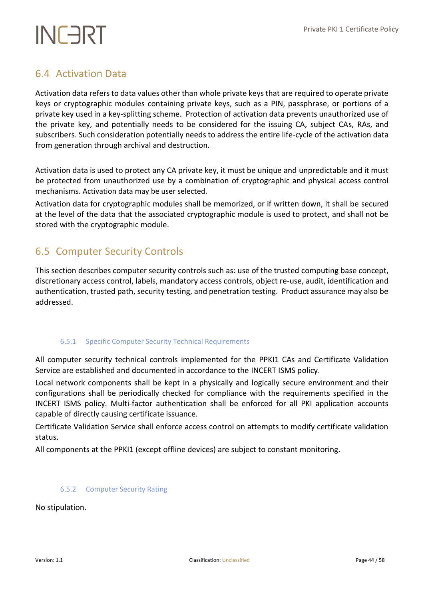### <span id="page-43-0"></span>6.4 Activation Data

Activation data refers to data values other than whole private keys that are required to operate private keys or cryptographic modules containing private keys, such as a PIN, passphrase, or portions of a private key used in a key-splitting scheme. Protection of activation data prevents unauthorized use of the private key, and potentially needs to be considered for the issuing CA, subject CAs, RAs, and subscribers. Such consideration potentially needs to address the entire life-cycle of the activation data from generation through archival and destruction.

Activation data is used to protect any CA private key, it must be unique and unpredictable and it must be protected from unauthorized use by a combination of cryptographic and physical access control mechanisms. Activation data may be user selected.

Activation data for cryptographic modules shall be memorized, or if written down, it shall be secured at the level of the data that the associated cryptographic module is used to protect, and shall not be stored with the cryptographic module.

### <span id="page-43-1"></span>6.5 Computer Security Controls

This section describes computer security controls such as: use of the trusted computing base concept, discretionary access control, labels, mandatory access controls, object re-use, audit, identification and authentication, trusted path, security testing, and penetration testing. Product assurance may also be addressed.

#### <span id="page-43-2"></span>6.5.1 Specific Computer Security Technical Requirements

All computer security technical controls implemented for the PPKI1 CAs and Certificate Validation Service are established and documented in accordance to the INCERT ISMS policy.

Local network components shall be kept in a physically and logically secure environment and their configurations shall be periodically checked for compliance with the requirements specified in the INCERT ISMS policy. Multi-factor authentication shall be enforced for all PKI application accounts capable of directly causing certificate issuance.

Certificate Validation Service shall enforce access control on attempts to modify certificate validation status.

<span id="page-43-3"></span>All components at the PPKI1 (except offline devices) are subject to constant monitoring.

#### 6.5.2 Computer Security Rating

No stipulation.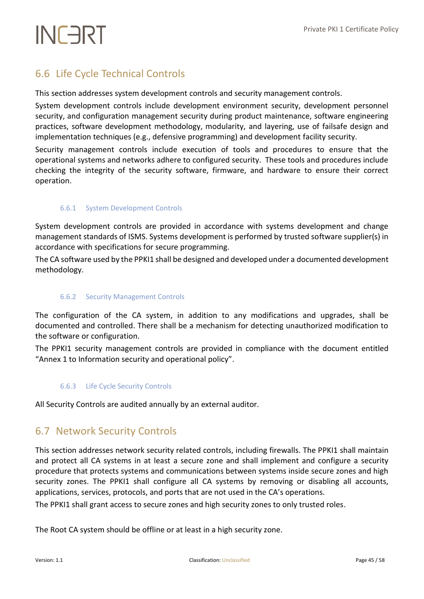## <span id="page-44-0"></span>6.6 Life Cycle Technical Controls

This section addresses system development controls and security management controls.

System development controls include development environment security, development personnel security, and configuration management security during product maintenance, software engineering practices, software development methodology, modularity, and layering, use of failsafe design and implementation techniques (e.g., defensive programming) and development facility security.

Security management controls include execution of tools and procedures to ensure that the operational systems and networks adhere to configured security. These tools and procedures include checking the integrity of the security software, firmware, and hardware to ensure their correct operation.

#### <span id="page-44-1"></span>6.6.1 System Development Controls

System development controls are provided in accordance with systems development and change management standards of ISMS. Systems development is performed by trusted software supplier(s) in accordance with specifications for secure programming.

<span id="page-44-2"></span>The CA software used by the PPKI1 shall be designed and developed under a documented development methodology.

#### 6.6.2 Security Management Controls

The configuration of the CA system, in addition to any modifications and upgrades, shall be documented and controlled. There shall be a mechanism for detecting unauthorized modification to the software or configuration.

<span id="page-44-3"></span>The PPKI1 security management controls are provided in compliance with the document entitled "Annex 1 to Information security and operational policy".

#### 6.6.3 Life Cycle Security Controls

<span id="page-44-4"></span>All Security Controls are audited annually by an external auditor.

### 6.7 Network Security Controls

This section addresses network security related controls, including firewalls. The PPKI1 shall maintain and protect all CA systems in at least a secure zone and shall implement and configure a security procedure that protects systems and communications between systems inside secure zones and high security zones. The PPKI1 shall configure all CA systems by removing or disabling all accounts, applications, services, protocols, and ports that are not used in the CA's operations.

The PPKI1 shall grant access to secure zones and high security zones to only trusted roles.

The Root CA system should be offline or at least in a high security zone.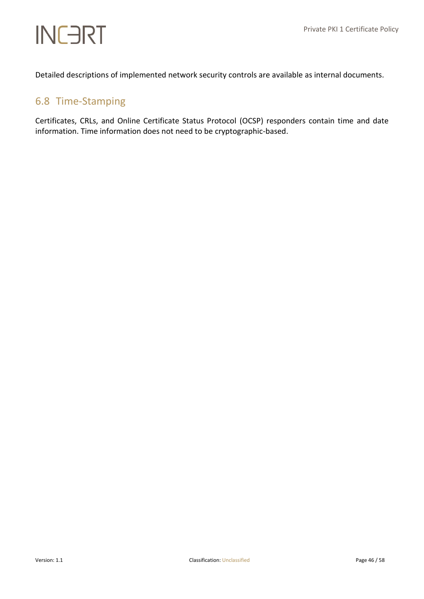Detailed descriptions of implemented network security controls are available as internal documents.

### <span id="page-45-0"></span>6.8 Time‐Stamping

Certificates, CRLs, and Online Certificate Status Protocol (OCSP) responders contain time and date information. Time information does not need to be cryptographic-based.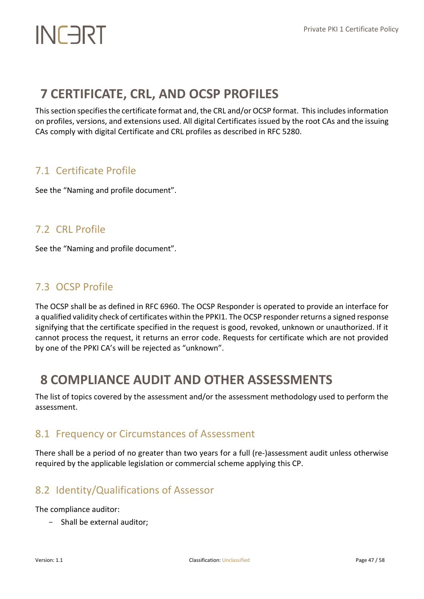## <span id="page-46-0"></span>**7 CERTIFICATE, CRL, AND OCSP PROFILES**

This section specifiesthe certificate format and, the CRL and/or OCSP format. This includes information on profiles, versions, and extensions used. All digital Certificates issued by the root CAs and the issuing CAs comply with digital Certificate and CRL profiles as described in RFC 5280.

## <span id="page-46-1"></span>7.1 Certificate Profile

See the "Naming and profile document".

### <span id="page-46-2"></span>7.2 CRL Profile

See the "Naming and profile document".

### <span id="page-46-3"></span>7.3 OCSP Profile

The OCSP shall be as defined in RFC 6960. The OCSP Responder is operated to provide an interface for a qualified validity check of certificates within the PPKI1. The OCSP responder returns a signed response signifying that the certificate specified in the request is good, revoked, unknown or unauthorized. If it cannot process the request, it returns an error code. Requests for certificate which are not provided by one of the PPKI CA's will be rejected as "unknown".

## <span id="page-46-4"></span>**8 COMPLIANCE AUDIT AND OTHER ASSESSMENTS**

The list of topics covered by the assessment and/or the assessment methodology used to perform the assessment.

### <span id="page-46-5"></span>8.1 Frequency or Circumstances of Assessment

There shall be a period of no greater than two years for a full (re-)assessment audit unless otherwise required by the applicable legislation or commercial scheme applying this CP.

## <span id="page-46-6"></span>8.2 Identity/Qualifications of Assessor

The compliance auditor:

- Shall be external auditor;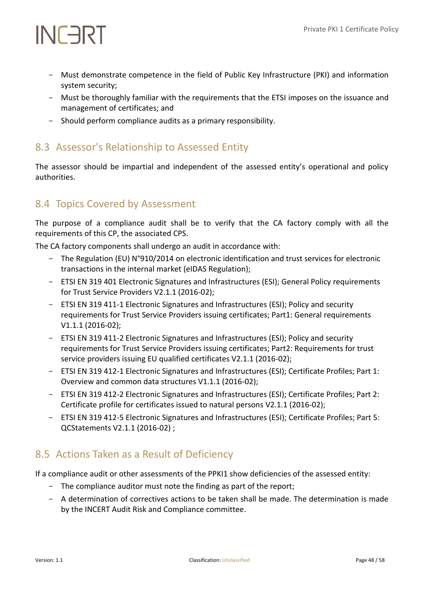- Must demonstrate competence in the field of Public Key Infrastructure (PKI) and information system security;
- Must be thoroughly familiar with the requirements that the ETSI imposes on the issuance and management of certificates; and
- Should perform compliance audits as a primary responsibility.

## <span id="page-47-0"></span>8.3 Assessor's Relationship to Assessed Entity

The assessor should be impartial and independent of the assessed entity's operational and policy authorities.

### <span id="page-47-1"></span>8.4 Topics Covered by Assessment

The purpose of a compliance audit shall be to verify that the CA factory comply with all the requirements of this CP, the associated CPS.

The CA factory components shall undergo an audit in accordance with:

- The Regulation (EU) N°910/2014 on electronic identification and trust services for electronic transactions in the internal market (eIDAS Regulation);
- ETSI EN 319 401 Electronic Signatures and Infrastructures (ESI); General Policy requirements for Trust Service Providers V2.1.1 (2016-02);
- ETSI EN 319 411-1 Electronic Signatures and Infrastructures (ESI); Policy and security requirements for Trust Service Providers issuing certificates; Part1: General requirements V1.1.1 (2016-02);
- ETSI EN 319 411-2 Electronic Signatures and Infrastructures (ESI); Policy and security requirements for Trust Service Providers issuing certificates; Part2: Requirements for trust service providers issuing EU qualified certificates V2.1.1 (2016-02);
- ETSI EN 319 412-1 Electronic Signatures and Infrastructures (ESI); Certificate Profiles; Part 1: Overview and common data structures V1.1.1 (2016-02);
- ETSI EN 319 412-2 Electronic Signatures and Infrastructures (ESI); Certificate Profiles; Part 2: Certificate profile for certificates issued to natural persons V2.1.1 (2016-02);
- ETSI EN 319 412-5 Electronic Signatures and Infrastructures (ESI); Certificate Profiles; Part 5: QCStatements V2.1.1 (2016-02) ;

## <span id="page-47-2"></span>8.5 Actions Taken as a Result of Deficiency

If a compliance audit or other assessments of the PPKI1 show deficiencies of the assessed entity:

- The compliance auditor must note the finding as part of the report;
- A determination of correctives actions to be taken shall be made. The determination is made by the INCERT Audit Risk and Compliance committee.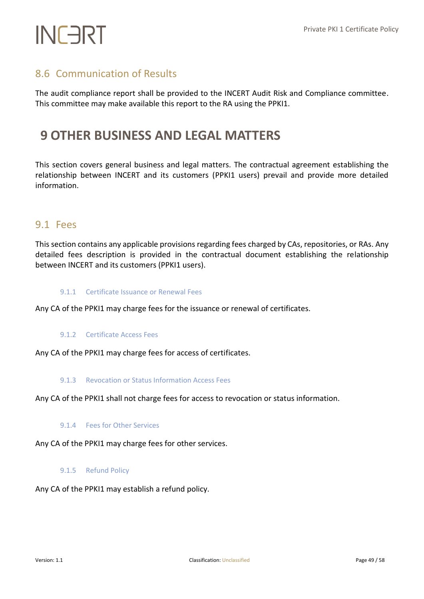## <span id="page-48-0"></span>8.6 Communication of Results

The audit compliance report shall be provided to the INCERT Audit Risk and Compliance committee. This committee may make available this report to the RA using the PPKI1.

## <span id="page-48-1"></span>**9 OTHER BUSINESS AND LEGAL MATTERS**

This section covers general business and legal matters. The contractual agreement establishing the relationship between INCERT and its customers (PPKI1 users) prevail and provide more detailed information.

### <span id="page-48-2"></span>9.1 Fees

This section contains any applicable provisions regarding fees charged by CAs, repositories, or RAs. Any detailed fees description is provided in the contractual document establishing the relationship between INCERT and its customers (PPKI1 users).

#### <span id="page-48-3"></span>9.1.1 Certificate Issuance or Renewal Fees

<span id="page-48-4"></span>Any CA of the PPKI1 may charge fees for the issuance or renewal of certificates.

#### 9.1.2 Certificate Access Fees

<span id="page-48-5"></span>Any CA of the PPKI1 may charge fees for access of certificates.

#### 9.1.3 Revocation or Status Information Access Fees

<span id="page-48-6"></span>Any CA of the PPKI1 shall not charge fees for access to revocation or status information.

#### 9.1.4 Fees for Other Services

<span id="page-48-7"></span>Any CA of the PPKI1 may charge fees for other services.

#### 9.1.5 Refund Policy

Any CA of the PPKI1 may establish a refund policy.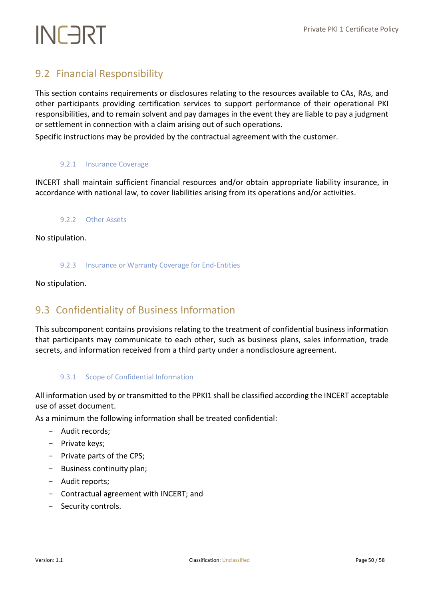## <span id="page-49-0"></span>9.2 Financial Responsibility

This section contains requirements or disclosures relating to the resources available to CAs, RAs, and other participants providing certification services to support performance of their operational PKI responsibilities, and to remain solvent and pay damages in the event they are liable to pay a judgment or settlement in connection with a claim arising out of such operations.

<span id="page-49-1"></span>Specific instructions may be provided by the contractual agreement with the customer.

#### 9.2.1 Insurance Coverage

<span id="page-49-2"></span>INCERT shall maintain sufficient financial resources and/or obtain appropriate liability insurance, in accordance with national law, to cover liabilities arising from its operations and/or activities.

#### 9.2.2 Other Assets

<span id="page-49-3"></span>No stipulation.

#### 9.2.3 Insurance or Warranty Coverage for End-Entities

<span id="page-49-4"></span>No stipulation.

### 9.3 Confidentiality of Business Information

This subcomponent contains provisions relating to the treatment of confidential business information that participants may communicate to each other, such as business plans, sales information, trade secrets, and information received from a third party under a nondisclosure agreement.

#### <span id="page-49-5"></span>9.3.1 Scope of Confidential Information

All information used by or transmitted to the PPKI1 shall be classified according the INCERT acceptable use of asset document.

As a minimum the following information shall be treated confidential:

- Audit records;
- Private keys;
- Private parts of the CPS;
- Business continuity plan;
- Audit reports;
- Contractual agreement with INCERT; and
- Security controls.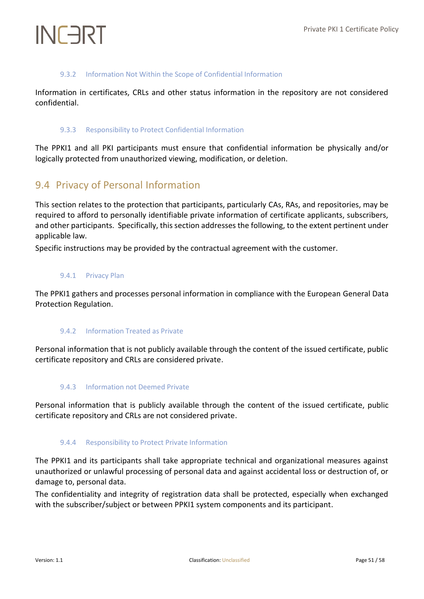#### 9.3.2 Information Not Within the Scope of Confidential Information

<span id="page-50-1"></span><span id="page-50-0"></span>Information in certificates, CRLs and other status information in the repository are not considered confidential.

#### 9.3.3 Responsibility to Protect Confidential Information

The PPKI1 and all PKI participants must ensure that confidential information be physically and/or logically protected from unauthorized viewing, modification, or deletion.

### <span id="page-50-2"></span>9.4 Privacy of Personal Information

This section relates to the protection that participants, particularly CAs, RAs, and repositories, may be required to afford to personally identifiable private information of certificate applicants, subscribers, and other participants. Specifically, this section addresses the following, to the extent pertinent under applicable law.

<span id="page-50-3"></span>Specific instructions may be provided by the contractual agreement with the customer.

#### 9.4.1 Privacy Plan

<span id="page-50-4"></span>The PPKI1 gathers and processes personal information in compliance with the European General Data Protection Regulation.

#### 9.4.2 Information Treated as Private

<span id="page-50-5"></span>Personal information that is not publicly available through the content of the issued certificate, public certificate repository and CRLs are considered private.

#### 9.4.3 Information not Deemed Private

<span id="page-50-6"></span>Personal information that is publicly available through the content of the issued certificate, public certificate repository and CRLs are not considered private.

#### 9.4.4 Responsibility to Protect Private Information

The PPKI1 and its participants shall take appropriate technical and organizational measures against unauthorized or unlawful processing of personal data and against accidental loss or destruction of, or damage to, personal data.

The confidentiality and integrity of registration data shall be protected, especially when exchanged with the subscriber/subject or between PPKI1 system components and its participant.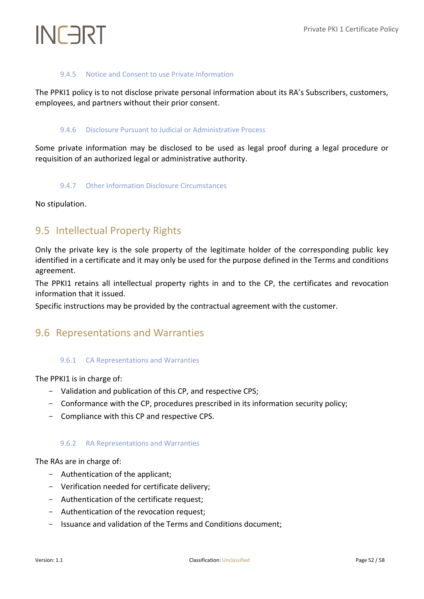#### 9.4.5 Notice and Consent to use Private Information

<span id="page-51-1"></span><span id="page-51-0"></span>The PPKI1 policy is to not disclose private personal information about its RA's Subscribers, customers, employees, and partners without their prior consent.

#### 9.4.6 Disclosure Pursuant to Judicial or Administrative Process

<span id="page-51-2"></span>Some private information may be disclosed to be used as legal proof during a legal procedure or requisition of an authorized legal or administrative authority.

#### 9.4.7 Other Information Disclosure Circumstances

<span id="page-51-3"></span>No stipulation.

### 9.5 Intellectual Property Rights

Only the private key is the sole property of the legitimate holder of the corresponding public key identified in a certificate and it may only be used for the purpose defined in the Terms and conditions agreement.

The PPKI1 retains all intellectual property rights in and to the CP, the certificates and revocation information that it issued.

<span id="page-51-4"></span>Specific instructions may be provided by the contractual agreement with the customer.

### <span id="page-51-5"></span>9.6 Representations and Warranties

#### 9.6.1 CA Representations and Warranties

The PPKI1 is in charge of:

- Validation and publication of this CP, and respective CPS;
- Conformance with the CP, procedures prescribed in its information security policy;
- <span id="page-51-6"></span>- Compliance with this CP and respective CPS.

#### 9.6.2 RA Representations and Warranties

The RAs are in charge of:

- Authentication of the applicant;
- Verification needed for certificate delivery;
- Authentication of the certificate request;
- Authentication of the revocation request;
- Issuance and validation of the Terms and Conditions document;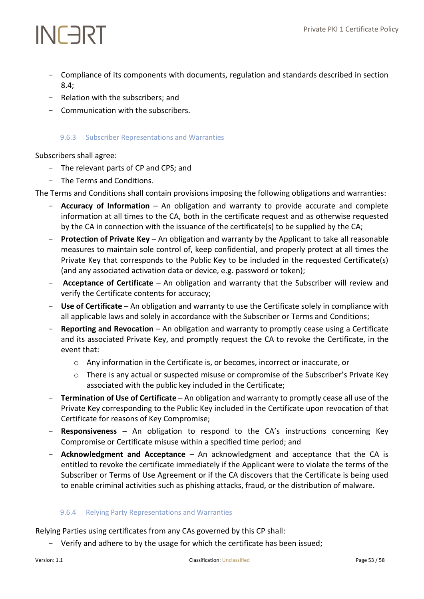- Compliance of its components with documents, regulation and standards described in section 8.4;
- Relation with the subscribers; and
- <span id="page-52-0"></span>- Communication with the subscribers.

#### 9.6.3 Subscriber Representations and Warranties

Subscribers shall agree:

- The relevant parts of CP and CPS; and
- The Terms and Conditions.

The Terms and Conditions shall contain provisions imposing the following obligations and warranties:

- Accuracy of Information An obligation and warranty to provide accurate and complete information at all times to the CA, both in the certificate request and as otherwise requested by the CA in connection with the issuance of the certificate(s) to be supplied by the CA;
- **Protection of Private Key** An obligation and warranty by the Applicant to take all reasonable measures to maintain sole control of, keep confidential, and properly protect at all times the Private Key that corresponds to the Public Key to be included in the requested Certificate(s) (and any associated activation data or device, e.g. password or token);
- **Acceptance of Certificate** An obligation and warranty that the Subscriber will review and verify the Certificate contents for accuracy;
- **Use of Certificate** An obligation and warranty to use the Certificate solely in compliance with all applicable laws and solely in accordance with the Subscriber or Terms and Conditions;
- **Reporting and Revocation** An obligation and warranty to promptly cease using a Certificate and its associated Private Key, and promptly request the CA to revoke the Certificate, in the event that:
	- o Any information in the Certificate is, or becomes, incorrect or inaccurate, or
	- o There is any actual or suspected misuse or compromise of the Subscriber's Private Key associated with the public key included in the Certificate;
- **Termination of Use of Certificate** An obligation and warranty to promptly cease all use of the Private Key corresponding to the Public Key included in the Certificate upon revocation of that Certificate for reasons of Key Compromise;
- **Responsiveness** An obligation to respond to the CA's instructions concerning Key Compromise or Certificate misuse within a specified time period; and
- **Acknowledgment and Acceptance** An acknowledgment and acceptance that the CA is entitled to revoke the certificate immediately if the Applicant were to violate the terms of the Subscriber or Terms of Use Agreement or if the CA discovers that the Certificate is being used to enable criminal activities such as phishing attacks, fraud, or the distribution of malware.

#### <span id="page-52-1"></span>9.6.4 Relying Party Representations and Warranties

Relying Parties using certificates from any CAs governed by this CP shall:

Verify and adhere to by the usage for which the certificate has been issued;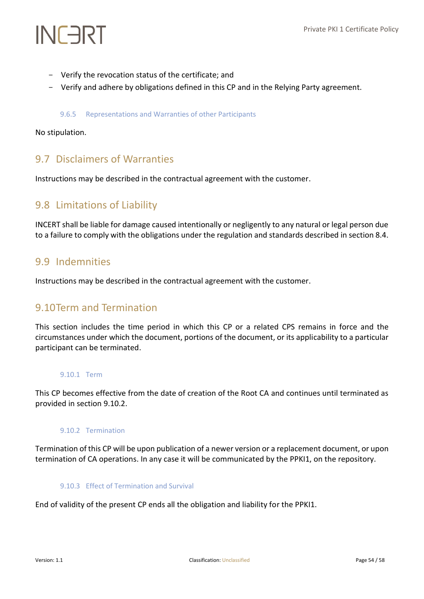- Verify the revocation status of the certificate; and
- <span id="page-53-0"></span>- Verify and adhere by obligations defined in this CP and in the Relying Party agreement.

#### 9.6.5 Representations and Warranties of other Participants

No stipulation.

### <span id="page-53-1"></span>9.7 Disclaimers of Warranties

Instructions may be described in the contractual agreement with the customer.

### <span id="page-53-2"></span>9.8 Limitations of Liability

INCERT shall be liable for damage caused intentionally or negligently to any natural or legal person due to a failure to comply with the obligations under the regulation and standards described in section 8.4.

### <span id="page-53-3"></span>9.9 Indemnities

<span id="page-53-4"></span>Instructions may be described in the contractual agreement with the customer.

### 9.10Term and Termination

This section includes the time period in which this CP or a related CPS remains in force and the circumstances under which the document, portions of the document, or its applicability to a particular participant can be terminated.

#### <span id="page-53-5"></span>9.10.1 Term

<span id="page-53-6"></span>This CP becomes effective from the date of creation of the Root CA and continues until terminated as provided in section 9.10.2.

#### 9.10.2 Termination

<span id="page-53-7"></span>Termination of this CP will be upon publication of a newer version or a replacement document, or upon termination of CA operations. In any case it will be communicated by the PPKI1, on the repository.

#### 9.10.3 Effect of Termination and Survival

End of validity of the present CP ends all the obligation and liability for the PPKI1.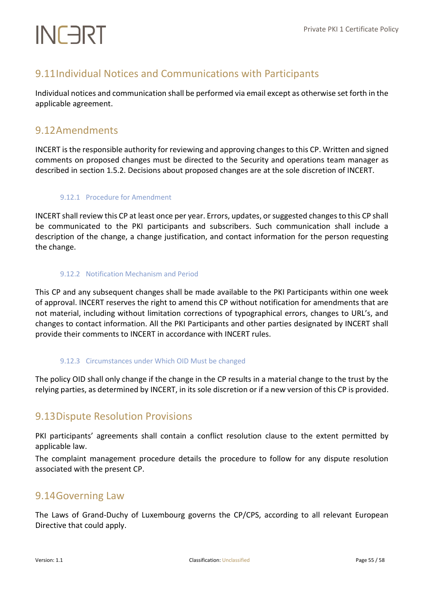## <span id="page-54-0"></span>9.11Individual Notices and Communications with Participants

Individual notices and communication shall be performed via email except as otherwise set forth in the applicable agreement.

### <span id="page-54-1"></span>9.12Amendments

INCERT is the responsible authority for reviewing and approving changes to this CP. Written and signed comments on proposed changes must be directed to the Security and operations team manager as described in section 1.5.2. Decisions about proposed changes are at the sole discretion of INCERT.

#### <span id="page-54-2"></span>9.12.1 Procedure for Amendment

INCERT shall review this CP at least once per year. Errors, updates, or suggested changes to this CP shall be communicated to the PKI participants and subscribers. Such communication shall include a description of the change, a change justification, and contact information for the person requesting the change.

#### <span id="page-54-3"></span>9.12.2 Notification Mechanism and Period

This CP and any subsequent changes shall be made available to the PKI Participants within one week of approval. INCERT reserves the right to amend this CP without notification for amendments that are not material, including without limitation corrections of typographical errors, changes to URL's, and changes to contact information. All the PKI Participants and other parties designated by INCERT shall provide their comments to INCERT in accordance with INCERT rules.

#### <span id="page-54-4"></span>9.12.3 Circumstances under Which OID Must be changed

The policy OID shall only change if the change in the CP results in a material change to the trust by the relying parties, as determined by INCERT, in its sole discretion or if a new version of this CP is provided.

### <span id="page-54-5"></span>9.13Dispute Resolution Provisions

PKI participants' agreements shall contain a conflict resolution clause to the extent permitted by applicable law.

The complaint management procedure details the procedure to follow for any dispute resolution associated with the present CP.

### <span id="page-54-6"></span>9.14Governing Law

The Laws of Grand-Duchy of Luxembourg governs the CP/CPS, according to all relevant European Directive that could apply.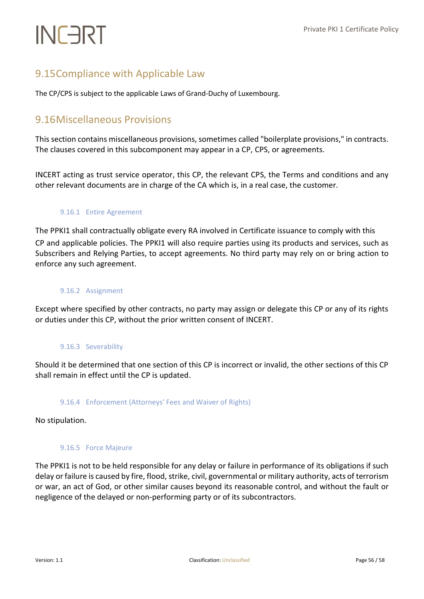## <span id="page-55-0"></span>9.15Compliance with Applicable Law

<span id="page-55-1"></span>The CP/CPS is subject to the applicable Laws of Grand-Duchy of Luxembourg.

### 9.16Miscellaneous Provisions

This section contains miscellaneous provisions, sometimes called "boilerplate provisions," in contracts. The clauses covered in this subcomponent may appear in a CP, CPS, or agreements.

<span id="page-55-2"></span>INCERT acting as trust service operator, this CP, the relevant CPS, the Terms and conditions and any other relevant documents are in charge of the CA which is, in a real case, the customer.

#### 9.16.1 Entire Agreement

The PPKI1 shall contractually obligate every RA involved in Certificate issuance to comply with this CP and applicable policies. The PPKI1 will also require parties using its products and services, such as Subscribers and Relying Parties, to accept agreements. No third party may rely on or bring action to enforce any such agreement.

#### <span id="page-55-3"></span>9.16.2 Assignment

<span id="page-55-4"></span>Except where specified by other contracts, no party may assign or delegate this CP or any of its rights or duties under this CP, without the prior written consent of INCERT.

#### 9.16.3 Severability

<span id="page-55-5"></span>Should it be determined that one section of this CP is incorrect or invalid, the other sections of this CP shall remain in effect until the CP is updated.

#### 9.16.4 Enforcement (Attorneys' Fees and Waiver of Rights)

<span id="page-55-6"></span>No stipulation.

#### 9.16.5 Force Majeure

The PPKI1 is not to be held responsible for any delay or failure in performance of its obligations if such delay or failure is caused by fire, flood, strike, civil, governmental or military authority, acts of terrorism or war, an act of God, or other similar causes beyond its reasonable control, and without the fault or negligence of the delayed or non-performing party or of its subcontractors.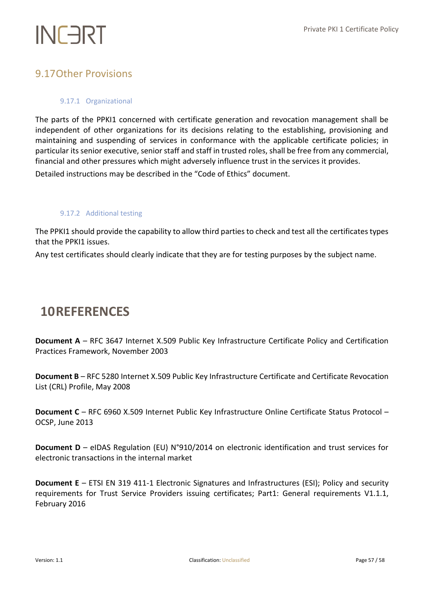### <span id="page-56-1"></span><span id="page-56-0"></span>9.17Other Provisions

#### 9.17.1 Organizational

The parts of the PPKI1 concerned with certificate generation and revocation management shall be independent of other organizations for its decisions relating to the establishing, provisioning and maintaining and suspending of services in conformance with the applicable certificate policies; in particular its senior executive, senior staff and staff in trusted roles, shall be free from any commercial, financial and other pressures which might adversely influence trust in the services it provides.

<span id="page-56-2"></span>Detailed instructions may be described in the "Code of Ethics" document.

#### 9.17.2 Additional testing

The PPKI1 should provide the capability to allow third parties to check and test all the certificates types that the PPKI1 issues.

Any test certificates should clearly indicate that they are for testing purposes by the subject name.

## <span id="page-56-3"></span>**10REFERENCES**

**Document A** – RFC 3647 Internet X.509 Public Key Infrastructure Certificate Policy and Certification Practices Framework, November 2003

**Document B** – RFC 5280 Internet X.509 Public Key Infrastructure Certificate and Certificate Revocation List (CRL) Profile, May 2008

**Document C** – RFC 6960 X.509 Internet Public Key Infrastructure Online Certificate Status Protocol – OCSP, June 2013

**Document D** – eIDAS Regulation (EU) N°910/2014 on electronic identification and trust services for electronic transactions in the internal market

**Document E** – ETSI EN 319 411-1 Electronic Signatures and Infrastructures (ESI); Policy and security requirements for Trust Service Providers issuing certificates; Part1: General requirements V1.1.1, February 2016